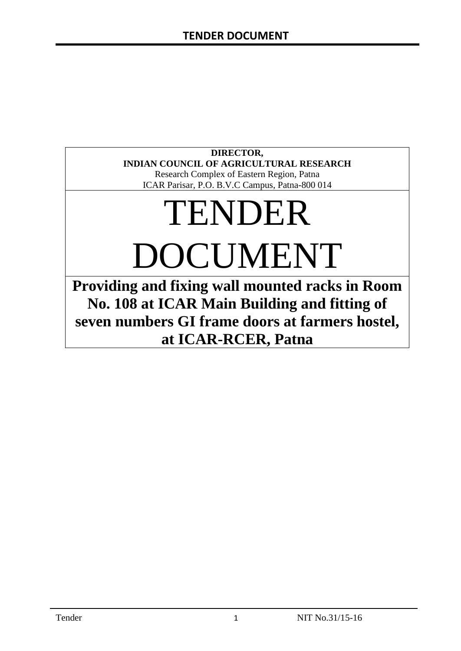# **DIRECTOR, INDIAN COUNCIL OF AGRICULTURAL RESEARCH**

Research Complex of Eastern Region, Patna ICAR Parisar, P.O. B.V.C Campus, Patna-800 014

# TENDER DOCUMENT

**Providing and fixing wall mounted racks in Room No. 108 at ICAR Main Building and fitting of seven numbers GI frame doors at farmers hostel, at ICAR-RCER, Patna**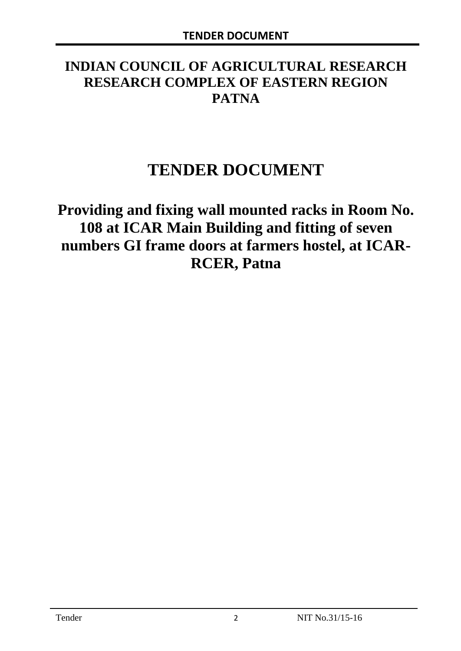# **INDIAN COUNCIL OF AGRICULTURAL RESEARCH RESEARCH COMPLEX OF EASTERN REGION PATNA**

# **TENDER DOCUMENT**

**Providing and fixing wall mounted racks in Room No. 108 at ICAR Main Building and fitting of seven numbers GI frame doors at farmers hostel, at ICAR-RCER, Patna**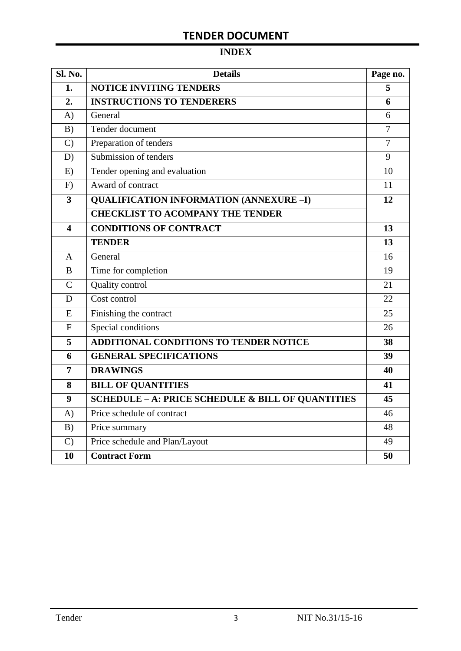# **INDEX**

| Sl. No.                 | <b>Details</b>                                    | Page no.       |
|-------------------------|---------------------------------------------------|----------------|
| 1.                      | <b>NOTICE INVITING TENDERS</b>                    | 5              |
| 2.                      | <b>INSTRUCTIONS TO TENDERERS</b>                  | 6              |
| A)                      | General                                           | 6              |
| B)                      | Tender document                                   | 7              |
| $\mathcal{C}$           | Preparation of tenders                            | $\overline{7}$ |
| D)                      | Submission of tenders                             | 9              |
| E)                      | Tender opening and evaluation                     | 10             |
| F)                      | Award of contract                                 | 11             |
| $\overline{\mathbf{3}}$ | <b>QUALIFICATION INFORMATION (ANNEXURE-I)</b>     | 12             |
|                         | <b>CHECKLIST TO ACOMPANY THE TENDER</b>           |                |
| 4                       | <b>CONDITIONS OF CONTRACT</b>                     | 13             |
|                         | <b>TENDER</b>                                     | 13             |
| $\overline{A}$          | General                                           | 16             |
| B                       | Time for completion                               | 19             |
| $\overline{C}$          | Quality control                                   | 21             |
| D                       | Cost control                                      | 22             |
| E                       | Finishing the contract                            | 25             |
| $\mathbf{F}$            | Special conditions                                | 26             |
| 5                       | <b>ADDITIONAL CONDITIONS TO TENDER NOTICE</b>     | 38             |
| 6                       | <b>GENERAL SPECIFICATIONS</b>                     | 39             |
| $\overline{7}$          | <b>DRAWINGS</b>                                   | 40             |
| 8                       | <b>BILL OF QUANTITIES</b>                         | 41             |
| 9                       | SCHEDULE - A: PRICE SCHEDULE & BILL OF QUANTITIES | 45             |
| A)                      | Price schedule of contract                        | 46             |
| B)                      | Price summary                                     | 48             |
| $\mathcal{C}$           | Price schedule and Plan/Layout                    | 49             |
| 10                      | <b>Contract Form</b>                              | 50             |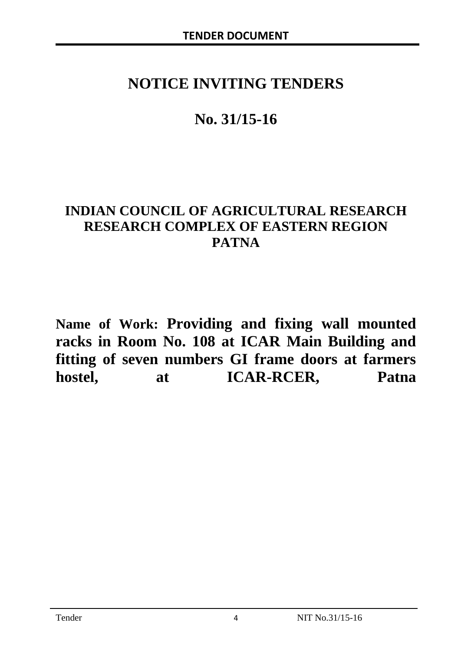# **NOTICE INVITING TENDERS**

# **No. 31/15-16**

# **INDIAN COUNCIL OF AGRICULTURAL RESEARCH RESEARCH COMPLEX OF EASTERN REGION PATNA**

**Name of Work: Providing and fixing wall mounted racks in Room No. 108 at ICAR Main Building and fitting of seven numbers GI frame doors at farmers hostel, at ICAR-RCER, Patna**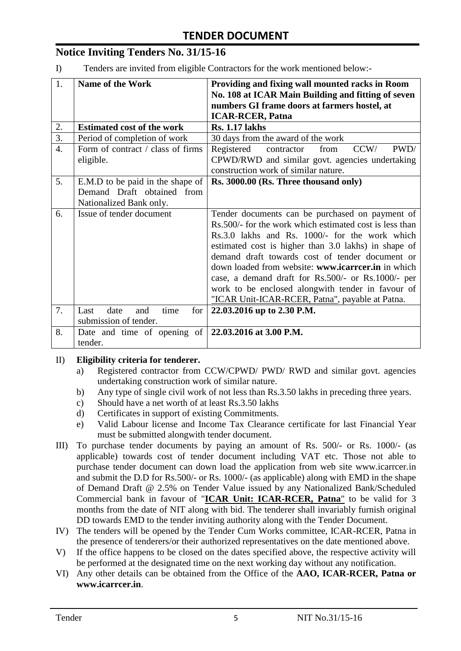# **Notice Inviting Tenders No. 31/15-16**

I) Tenders are invited from eligible Contractors for the work mentioned below:-

| 1.               | <b>Name of the Work</b>                        | Providing and fixing wall mounted racks in Room                                                                                             |  |  |  |  |
|------------------|------------------------------------------------|---------------------------------------------------------------------------------------------------------------------------------------------|--|--|--|--|
|                  |                                                | No. 108 at ICAR Main Building and fitting of seven                                                                                          |  |  |  |  |
|                  |                                                | numbers GI frame doors at farmers hostel, at                                                                                                |  |  |  |  |
|                  |                                                | <b>ICAR-RCER, Patna</b>                                                                                                                     |  |  |  |  |
| 2.               | <b>Estimated cost of the work</b>              | <b>Rs. 1.17 lakhs</b>                                                                                                                       |  |  |  |  |
| 3.               | Period of completion of work                   | 30 days from the award of the work                                                                                                          |  |  |  |  |
| $\overline{4}$ . | Form of contract / class of firms<br>eligible. | PWD/<br>CCW/<br>Registered<br>contractor<br>from<br>CPWD/RWD and similar govt. agencies undertaking<br>construction work of similar nature. |  |  |  |  |
| 5.               | E.M.D to be paid in the shape of               | Rs. 3000.00 (Rs. Three thousand only)                                                                                                       |  |  |  |  |
|                  | Demand Draft obtained from                     |                                                                                                                                             |  |  |  |  |
|                  | Nationalized Bank only.                        |                                                                                                                                             |  |  |  |  |
| 6.               | Issue of tender document                       | Tender documents can be purchased on payment of                                                                                             |  |  |  |  |
|                  |                                                | Rs.500/- for the work which estimated cost is less than                                                                                     |  |  |  |  |
|                  |                                                | Rs.3.0 lakhs and Rs. 1000/- for the work which                                                                                              |  |  |  |  |
|                  |                                                | estimated cost is higher than 3.0 lakhs) in shape of                                                                                        |  |  |  |  |
|                  |                                                | demand draft towards cost of tender document or                                                                                             |  |  |  |  |
|                  |                                                | down loaded from website: www.icarreer.in in which                                                                                          |  |  |  |  |
|                  |                                                | case, a demand draft for Rs.500/- or Rs.1000/- per                                                                                          |  |  |  |  |
|                  |                                                | work to be enclosed alongwith tender in favour of                                                                                           |  |  |  |  |
|                  |                                                | "ICAR Unit-ICAR-RCER, Patna", payable at Patna.                                                                                             |  |  |  |  |
| 7.               | time<br>Last<br>date<br>for<br>and             | 22.03.2016 up to 2.30 P.M.                                                                                                                  |  |  |  |  |
|                  | submission of tender.                          |                                                                                                                                             |  |  |  |  |
| 8.               | Date and time of opening of                    | 22.03.2016 at 3.00 P.M.                                                                                                                     |  |  |  |  |
|                  | tender.                                        |                                                                                                                                             |  |  |  |  |

#### II) **Eligibility criteria for tenderer.**

- a) Registered contractor from CCW/CPWD/ PWD/ RWD and similar govt. agencies undertaking construction work of similar nature.
- b) Any type of single civil work of not less than Rs.3.50 lakhs in preceding three years.
- c) Should have a net worth of at least Rs.3.50 lakhs
- d) Certificates in support of existing Commitments.
- e) Valid Labour license and Income Tax Clearance certificate for last Financial Year must be submitted alongwith tender document.
- III) To purchase tender documents by paying an amount of Rs. 500/- or Rs. 1000/- (as applicable) towards cost of tender document including VAT etc. Those not able to purchase tender document can down load the application from web site www.icarrcer.in and submit the D.D for Rs.500/- or Rs. 1000/- (as applicable) along with EMD in the shape of Demand Draft @ 2.5% on Tender Value issued by any Nationalized Bank/Scheduled Commercial bank in favour of "**ICAR Unit: ICAR-RCER, Patna**" to be valid for 3 months from the date of NIT along with bid. The tenderer shall invariably furnish original DD towards EMD to the tender inviting authority along with the Tender Document.
- IV) The tenders will be opened by the Tender Cum Works committee, ICAR-RCER, Patna in the presence of tenderers/or their authorized representatives on the date mentioned above.
- V) If the office happens to be closed on the dates specified above, the respective activity will be performed at the designated time on the next working day without any notification.
- VI) Any other details can be obtained from the Office of the **AAO, ICAR-RCER, Patna or www.icarrcer.in**.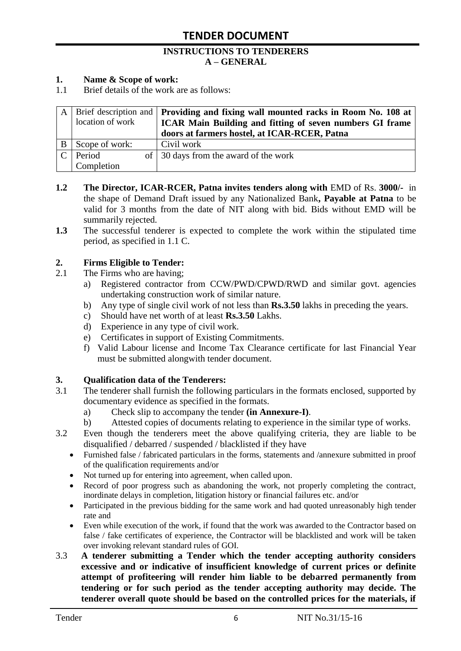#### **INSTRUCTIONS TO TENDERERS A – GENERAL**

#### **1. Name & Scope of work:**

1.1 Brief details of the work are as follows:

| location of work | A Brief description and <b>Providing and fixing wall mounted racks in Room No. 108 at</b><br>ICAR Main Building and fitting of seven numbers GI frame<br>doors at farmers hostel, at ICAR-RCER, Patna |
|------------------|-------------------------------------------------------------------------------------------------------------------------------------------------------------------------------------------------------|
| Scope of work:   | Civil work                                                                                                                                                                                            |
| Period           | of 30 days from the award of the work                                                                                                                                                                 |
| Completion       |                                                                                                                                                                                                       |

- **1.2** The Director, ICAR-RCER, Patna invites tenders along with EMD of Rs. 3000/- in the shape of Demand Draft issued by any Nationalized Bank**, Payable at Patna** to be valid for 3 months from the date of NIT along with bid. Bids without EMD will be summarily rejected.
- **1.3** The successful tenderer is expected to complete the work within the stipulated time period, as specified in 1.1 C.

#### **2. Firms Eligible to Tender:**

- 2.1 The Firms who are having;
	- a) Registered contractor from CCW/PWD/CPWD/RWD and similar govt. agencies undertaking construction work of similar nature.
	- b) Any type of single civil work of not less than **Rs.3.50** lakhs in preceding the years.
	- c) Should have net worth of at least **Rs.3.50** Lakhs.
	- d) Experience in any type of civil work.
	- e) Certificates in support of Existing Commitments.
	- f) Valid Labour license and Income Tax Clearance certificate for last Financial Year must be submitted alongwith tender document.

#### **3. Qualification data of the Tenderers:**

- 3.1 The tenderer shall furnish the following particulars in the formats enclosed, supported by documentary evidence as specified in the formats.
	- a) Check slip to accompany the tender **(in Annexure-I)**.
	- b) Attested copies of documents relating to experience in the similar type of works.
- 3.2 Even though the tenderers meet the above qualifying criteria, they are liable to be disqualified / debarred / suspended / blacklisted if they have
	- Furnished false / fabricated particulars in the forms, statements and /annexure submitted in proof of the qualification requirements and/or
	- Not turned up for entering into agreement, when called upon.
	- Record of poor progress such as abandoning the work, not properly completing the contract, inordinate delays in completion, litigation history or financial failures etc. and/or
	- Participated in the previous bidding for the same work and had quoted unreasonably high tender rate and
	- Even while execution of the work, if found that the work was awarded to the Contractor based on false / fake certificates of experience, the Contractor will be blacklisted and work will be taken over invoking relevant standard rules of GOI.
- 3.3 **A tenderer submitting a Tender which the tender accepting authority considers excessive and or indicative of insufficient knowledge of current prices or definite attempt of profiteering will render him liable to be debarred permanently from tendering or for such period as the tender accepting authority may decide. The tenderer overall quote should be based on the controlled prices for the materials, if**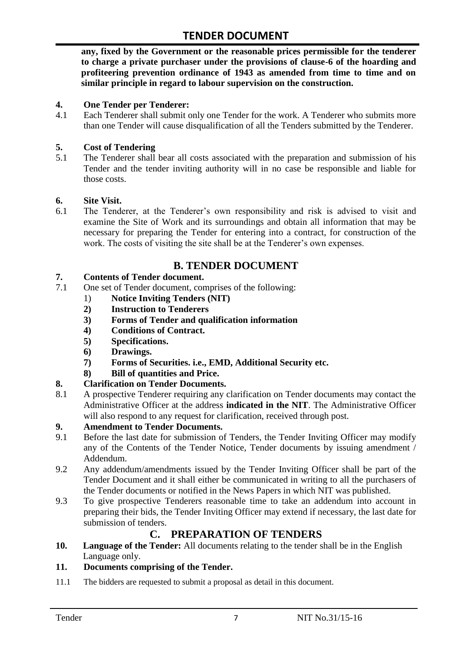**any, fixed by the Government or the reasonable prices permissible for the tenderer to charge a private purchaser under the provisions of clause-6 of the hoarding and profiteering prevention ordinance of 1943 as amended from time to time and on similar principle in regard to labour supervision on the construction.**

#### **4. One Tender per Tenderer:**

4.1 Each Tenderer shall submit only one Tender for the work. A Tenderer who submits more than one Tender will cause disqualification of all the Tenders submitted by the Tenderer.

#### **5. Cost of Tendering**

5.1 The Tenderer shall bear all costs associated with the preparation and submission of his Tender and the tender inviting authority will in no case be responsible and liable for those costs.

#### **6. Site Visit.**

6.1 The Tenderer, at the Tenderer"s own responsibility and risk is advised to visit and examine the Site of Work and its surroundings and obtain all information that may be necessary for preparing the Tender for entering into a contract, for construction of the work. The costs of visiting the site shall be at the Tenderer's own expenses.

# **B. TENDER DOCUMENT**

#### **7. Contents of Tender document.**

- 7.1 One set of Tender document, comprises of the following:
	- 1) **Notice Inviting Tenders (NIT)**
	- **2) Instruction to Tenderers**
	- **3) Forms of Tender and qualification information**
	- **4) Conditions of Contract.**
	- **5) Specifications.**
	- **6) Drawings.**
	- **7) Forms of Securities. i.e., EMD, Additional Security etc.**
	- **8) Bill of quantities and Price.**

#### **8. Clarification on Tender Documents.**

8.1 A prospective Tenderer requiring any clarification on Tender documents may contact the Administrative Officer at the address **indicated in the NIT**. The Administrative Officer will also respond to any request for clarification, received through post.

#### **9. Amendment to Tender Documents.**

- 9.1 Before the last date for submission of Tenders, the Tender Inviting Officer may modify any of the Contents of the Tender Notice, Tender documents by issuing amendment / Addendum.
- 9.2 Any addendum/amendments issued by the Tender Inviting Officer shall be part of the Tender Document and it shall either be communicated in writing to all the purchasers of the Tender documents or notified in the News Papers in which NIT was published.
- 9.3 To give prospective Tenderers reasonable time to take an addendum into account in preparing their bids, the Tender Inviting Officer may extend if necessary, the last date for submission of tenders.

## **C. PREPARATION OF TENDERS**

**10. Language of the Tender:** All documents relating to the tender shall be in the English Language only.

#### **11. Documents comprising of the Tender.**

11.1 The bidders are requested to submit a proposal as detail in this document.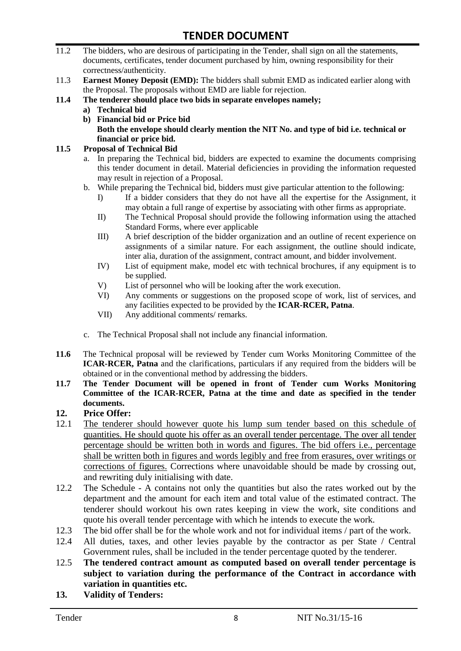- 11.2 The bidders, who are desirous of participating in the Tender, shall sign on all the statements, documents, certificates, tender document purchased by him, owning responsibility for their correctness/authenticity.
- 11.3 **Earnest Money Deposit (EMD):** The bidders shall submit EMD as indicated earlier along with the Proposal. The proposals without EMD are liable for rejection.
- **11.4 The tenderer should place two bids in separate envelopes namely;**
	- **a) Technical bid**
	- **b) Financial bid or Price bid Both the envelope should clearly mention the NIT No. and type of bid i.e. technical or financial or price bid.**

#### **11.5 Proposal of Technical Bid**

- a. In preparing the Technical bid, bidders are expected to examine the documents comprising this tender document in detail. Material deficiencies in providing the information requested may result in rejection of a Proposal.
- b. While preparing the Technical bid, bidders must give particular attention to the following:
	- I) If a bidder considers that they do not have all the expertise for the Assignment, it may obtain a full range of expertise by associating with other firms as appropriate.
	- II) The Technical Proposal should provide the following information using the attached Standard Forms, where ever applicable
	- III) A brief description of the bidder organization and an outline of recent experience on assignments of a similar nature. For each assignment, the outline should indicate, inter alia, duration of the assignment, contract amount, and bidder involvement.
	- IV) List of equipment make, model etc with technical brochures, if any equipment is to be supplied.
	- V) List of personnel who will be looking after the work execution.
	- VI) Any comments or suggestions on the proposed scope of work, list of services, and any facilities expected to be provided by the **ICAR-RCER, Patna**.
	- VII) Any additional comments/ remarks.
- c. The Technical Proposal shall not include any financial information.
- **11.6** The Technical proposal will be reviewed by Tender cum Works Monitoring Committee of the **ICAR-RCER, Patna** and the clarifications, particulars if any required from the bidders will be obtained or in the conventional method by addressing the bidders.
- **11.7 The Tender Document will be opened in front of Tender cum Works Monitoring Committee of the ICAR-RCER, Patna at the time and date as specified in the tender documents.**

#### **12. Price Offer:**

- 12.1 The tenderer should however quote his lump sum tender based on this schedule of quantities. He should quote his offer as an overall tender percentage. The over all tender percentage should be written both in words and figures. The bid offers i.e., percentage shall be written both in figures and words legibly and free from erasures, over writings or corrections of figures. Corrections where unavoidable should be made by crossing out, and rewriting duly initialising with date.
- 12.2 The Schedule A contains not only the quantities but also the rates worked out by the department and the amount for each item and total value of the estimated contract. The tenderer should workout his own rates keeping in view the work, site conditions and quote his overall tender percentage with which he intends to execute the work.
- 12.3 The bid offer shall be for the whole work and not for individual items / part of the work.
- 12.4 All duties, taxes, and other levies payable by the contractor as per State / Central Government rules, shall be included in the tender percentage quoted by the tenderer.
- 12.5 **The tendered contract amount as computed based on overall tender percentage is subject to variation during the performance of the Contract in accordance with variation in quantities etc.**
- **13. Validity of Tenders:**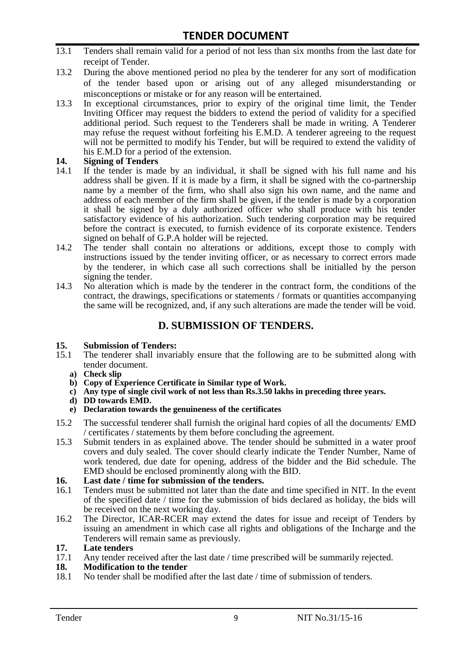- 13.1 Tenders shall remain valid for a period of not less than six months from the last date for receipt of Tender.
- 13.2 During the above mentioned period no plea by the tenderer for any sort of modification of the tender based upon or arising out of any alleged misunderstanding or misconceptions or mistake or for any reason will be entertained.
- 13.3 In exceptional circumstances, prior to expiry of the original time limit, the Tender Inviting Officer may request the bidders to extend the period of validity for a specified additional period. Such request to the Tenderers shall be made in writing. A Tenderer may refuse the request without forfeiting his E.M.D. A tenderer agreeing to the request will not be permitted to modify his Tender, but will be required to extend the validity of his E.M.D for a period of the extension.

# **14.** Signing of Tenders<br>14.1 If the tender is made

- If the tender is made by an individual, it shall be signed with his full name and his address shall be given. If it is made by a firm, it shall be signed with the co-partnership name by a member of the firm, who shall also sign his own name, and the name and address of each member of the firm shall be given, if the tender is made by a corporation it shall be signed by a duly authorized officer who shall produce with his tender satisfactory evidence of his authorization. Such tendering corporation may be required before the contract is executed, to furnish evidence of its corporate existence. Tenders signed on behalf of G.P.A holder will be rejected.
- 14.2 The tender shall contain no alterations or additions, except those to comply with instructions issued by the tender inviting officer, or as necessary to correct errors made by the tenderer, in which case all such corrections shall be initialled by the person signing the tender.
- 14.3 No alteration which is made by the tenderer in the contract form, the conditions of the contract, the drawings, specifications or statements / formats or quantities accompanying the same will be recognized, and, if any such alterations are made the tender will be void.

## **D. SUBMISSION OF TENDERS.**

#### **15. Submission of Tenders:**

- 15.1 The tenderer shall invariably ensure that the following are to be submitted along with tender document.
	- **a) Check slip**
	- **b) Copy of Experience Certificate in Similar type of Work.**
	- **c) Any type of single civil work of not less than Rs.3.50 lakhs in preceding three years.**
	- **d) DD towards EMD.**
	- **e) Declaration towards the genuineness of the certificates**
- 15.2 The successful tenderer shall furnish the original hard copies of all the documents/ EMD / certificates / statements by them before concluding the agreement.
- 15.3 Submit tenders in as explained above. The tender should be submitted in a water proof covers and duly sealed. The cover should clearly indicate the Tender Number, Name of work tendered, due date for opening, address of the bidder and the Bid schedule. The EMD should be enclosed prominently along with the BID.
- **16. Last date / time for submission of the tenders.**
- 16.1 Tenders must be submitted not later than the date and time specified in NIT. In the event of the specified date / time for the submission of bids declared as holiday, the bids will be received on the next working day.
- 16.2 The Director, ICAR-RCER may extend the dates for issue and receipt of Tenders by issuing an amendment in which case all rights and obligations of the Incharge and the Tenderers will remain same as previously.

#### **17. Late tenders**

17.1 Any tender received after the last date / time prescribed will be summarily rejected.

#### **18. Modification to the tender**

18.1 No tender shall be modified after the last date / time of submission of tenders.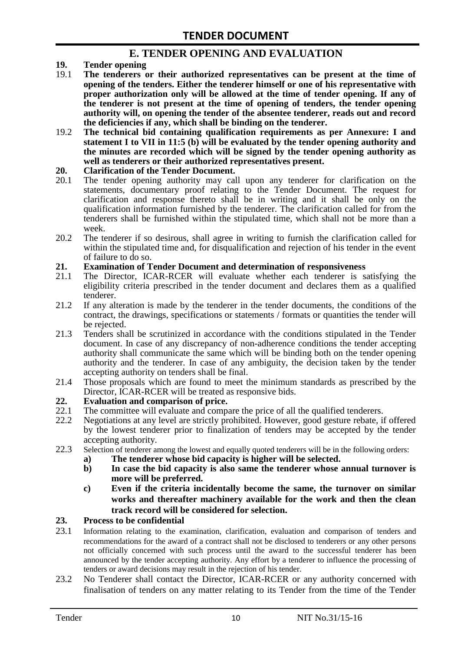## **E. TENDER OPENING AND EVALUATION**

- **19. Tender opening**
- 19.1 **The tenderers or their authorized representatives can be present at the time of opening of the tenders. Either the tenderer himself or one of his representative with proper authorization only will be allowed at the time of tender opening. If any of the tenderer is not present at the time of opening of tenders, the tender opening authority will, on opening the tender of the absentee tenderer, reads out and record the deficiencies if any, which shall be binding on the tenderer.**
- 19.2 **The technical bid containing qualification requirements as per Annexure: I and statement I to VII in 11:5 (b) will be evaluated by the tender opening authority and the minutes are recorded which will be signed by the tender opening authority as well as tenderers or their authorized representatives present.**

#### **20. Clarification of the Tender Document.**

- 20.1 The tender opening authority may call upon any tenderer for clarification on the statements, documentary proof relating to the Tender Document. The request for clarification and response thereto shall be in writing and it shall be only on the qualification information furnished by the tenderer. The clarification called for from the tenderers shall be furnished within the stipulated time, which shall not be more than a week.
- 20.2 The tenderer if so desirous, shall agree in writing to furnish the clarification called for within the stipulated time and, for disqualification and rejection of his tender in the event of failure to do so.

# **21. Examination of Tender Document and determination of responsiveness**

- 21.1 The Director, ICAR-RCER will evaluate whether each tenderer is satisfying the eligibility criteria prescribed in the tender document and declares them as a qualified tenderer.
- 21.2 If any alteration is made by the tenderer in the tender documents, the conditions of the contract, the drawings, specifications or statements / formats or quantities the tender will be rejected.
- 21.3 Tenders shall be scrutinized in accordance with the conditions stipulated in the Tender document. In case of any discrepancy of non-adherence conditions the tender accepting authority shall communicate the same which will be binding both on the tender opening authority and the tenderer. In case of any ambiguity, the decision taken by the tender accepting authority on tenders shall be final.
- 21.4 Those proposals which are found to meet the minimum standards as prescribed by the Director, ICAR-RCER will be treated as responsive bids.

# **22. Evaluation and comparison of price.**

- The committee will evaluate and compare the price of all the qualified tenderers.
- 22.2 Negotiations at any level are strictly prohibited. However, good gesture rebate, if offered by the lowest tenderer prior to finalization of tenders may be accepted by the tender accepting authority.
- 22.3 Selection of tenderer among the lowest and equally quoted tenderers will be in the following orders:
	- **a) The tenderer whose bid capacity is higher will be selected.**
	- **b) In case the bid capacity is also same the tenderer whose annual turnover is more will be preferred.**
	- **c) Even if the criteria incidentally become the same, the turnover on similar works and thereafter machinery available for the work and then the clean track record will be considered for selection.**

#### **23. Process to be confidential**

- 23.1 Information relating to the examination, clarification, evaluation and comparison of tenders and recommendations for the award of a contract shall not be disclosed to tenderers or any other persons not officially concerned with such process until the award to the successful tenderer has been announced by the tender accepting authority. Any effort by a tenderer to influence the processing of tenders or award decisions may result in the rejection of his tender.
- 23.2 No Tenderer shall contact the Director, ICAR-RCER or any authority concerned with finalisation of tenders on any matter relating to its Tender from the time of the Tender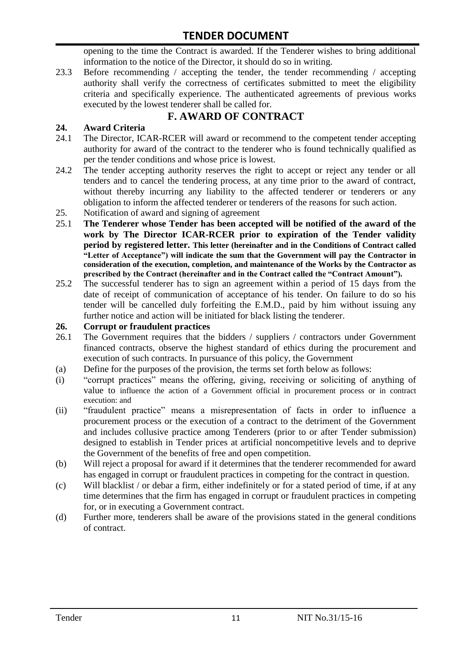opening to the time the Contract is awarded. If the Tenderer wishes to bring additional information to the notice of the Director, it should do so in writing.

23.3 Before recommending / accepting the tender, the tender recommending / accepting authority shall verify the correctness of certificates submitted to meet the eligibility criteria and specifically experience. The authenticated agreements of previous works executed by the lowest tenderer shall be called for.

# **F. AWARD OF CONTRACT**

#### **24. Award Criteria**

- 24.1 The Director, ICAR-RCER will award or recommend to the competent tender accepting authority for award of the contract to the tenderer who is found technically qualified as per the tender conditions and whose price is lowest.
- 24.2 The tender accepting authority reserves the right to accept or reject any tender or all tenders and to cancel the tendering process, at any time prior to the award of contract, without thereby incurring any liability to the affected tenderer or tenderers or any obligation to inform the affected tenderer or tenderers of the reasons for such action.
- 25. Notification of award and signing of agreement
- 25.1 **The Tenderer whose Tender has been accepted will be notified of the award of the work by The Director ICAR-RCER prior to expiration of the Tender validity period by registered letter. This letter (hereinafter and in the Conditions of Contract called "Letter of Acceptance") will indicate the sum that the Government will pay the Contractor in consideration of the execution, completion, and maintenance of the Works by the Contractor as prescribed by the Contract (hereinafter and in the Contract called the "Contract Amount").**
- 25.2 The successful tenderer has to sign an agreement within a period of 15 days from the date of receipt of communication of acceptance of his tender. On failure to do so his tender will be cancelled duly forfeiting the E.M.D., paid by him without issuing any further notice and action will be initiated for black listing the tenderer.

#### **26. Corrupt or fraudulent practices**

- 26.1 The Government requires that the bidders / suppliers / contractors under Government financed contracts, observe the highest standard of ethics during the procurement and execution of such contracts. In pursuance of this policy, the Government
- (a) Define for the purposes of the provision, the terms set forth below as follows:
- (i) "corrupt practices" means the offering, giving, receiving or soliciting of anything of value to influence the action of a Government official in procurement process or in contract execution: and
- (ii) "fraudulent practice" means a misrepresentation of facts in order to influence a procurement process or the execution of a contract to the detriment of the Government and includes collusive practice among Tenderers (prior to or after Tender submission) designed to establish in Tender prices at artificial noncompetitive levels and to deprive the Government of the benefits of free and open competition.
- (b) Will reject a proposal for award if it determines that the tenderer recommended for award has engaged in corrupt or fraudulent practices in competing for the contract in question.
- (c) Will blacklist / or debar a firm, either indefinitely or for a stated period of time, if at any time determines that the firm has engaged in corrupt or fraudulent practices in competing for, or in executing a Government contract.
- (d) Further more, tenderers shall be aware of the provisions stated in the general conditions of contract.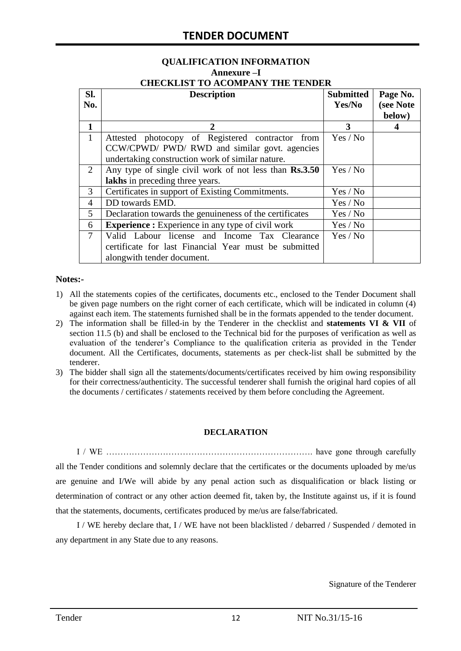# **QUALIFICATION INFORMATION Annexure –I**

| <b>CHECKLIST TO ACOMPANY THE TENDER</b> |  |  |  |  |
|-----------------------------------------|--|--|--|--|
|                                         |  |  |  |  |

| SI.    | <b>Description</b>                                       | <b>Submitted</b> | Page No.  |
|--------|----------------------------------------------------------|------------------|-----------|
| No.    |                                                          | Yes/No           | (see Note |
|        |                                                          |                  | below)    |
| 1      | $\mathbf{2}$                                             | 3                |           |
| 1      | Attested photocopy of Registered contractor from         | Yes / No         |           |
|        | CCW/CPWD/ PWD/ RWD and similar govt. agencies            |                  |           |
|        | undertaking construction work of similar nature.         |                  |           |
| 2      | Any type of single civil work of not less than Rs.3.50   | Yes / No         |           |
|        | lakhs in preceding three years.                          |                  |           |
| 3      | Certificates in support of Existing Commitments.         | Yes / No         |           |
| 4      | DD towards EMD.                                          | Yes / No         |           |
| 5      | Declaration towards the genuineness of the certificates  | Yes / No         |           |
| 6      | <b>Experience :</b> Experience in any type of civil work | Yes / No         |           |
| $\tau$ | Valid Labour license and Income Tax Clearance            | Yes / No         |           |
|        | certificate for last Financial Year must be submitted    |                  |           |
|        | alongwith tender document.                               |                  |           |

#### **Notes:-**

- 1) All the statements copies of the certificates, documents etc., enclosed to the Tender Document shall be given page numbers on the right corner of each certificate, which will be indicated in column (4) against each item. The statements furnished shall be in the formats appended to the tender document.
- 2) The information shall be filled-in by the Tenderer in the checklist and **statements VI & VII** of section 11.5 (b) and shall be enclosed to the Technical bid for the purposes of verification as well as evaluation of the tenderer"s Compliance to the qualification criteria as provided in the Tender document. All the Certificates, documents, statements as per check-list shall be submitted by the tenderer.
- 3) The bidder shall sign all the statements/documents/certificates received by him owing responsibility for their correctness/authenticity. The successful tenderer shall furnish the original hard copies of all the documents / certificates / statements received by them before concluding the Agreement.

#### **DECLARATION**

I / WE ………………………………………………………………. have gone through carefully all the Tender conditions and solemnly declare that the certificates or the documents uploaded by me/us are genuine and I/We will abide by any penal action such as disqualification or black listing or determination of contract or any other action deemed fit, taken by, the Institute against us, if it is found that the statements, documents, certificates produced by me/us are false/fabricated.

I / WE hereby declare that, I / WE have not been blacklisted / debarred / Suspended / demoted in any department in any State due to any reasons.

Signature of the Tenderer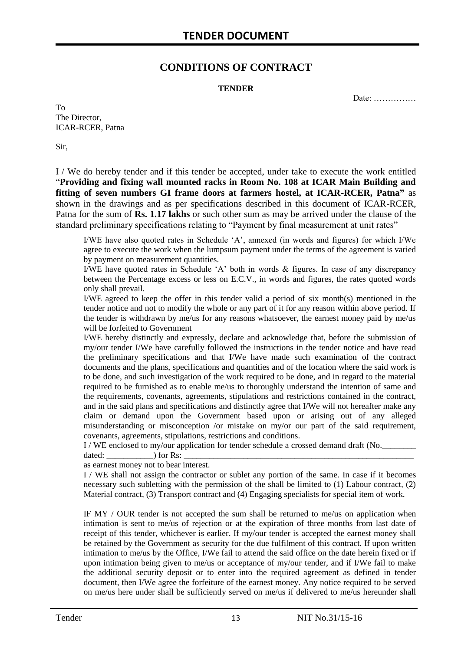### **CONDITIONS OF CONTRACT**

#### **TENDER**

Date: ……………

To The Director, ICAR-RCER, Patna

Sir,

I / We do hereby tender and if this tender be accepted, under take to execute the work entitled "**Providing and fixing wall mounted racks in Room No. 108 at ICAR Main Building and fitting of seven numbers GI frame doors at farmers hostel, at ICAR-RCER, Patna"** as shown in the drawings and as per specifications described in this document of ICAR-RCER, Patna for the sum of **Rs. 1.17 lakhs** or such other sum as may be arrived under the clause of the standard preliminary specifications relating to "Payment by final measurement at unit rates"

I/WE have also quoted rates in Schedule "A", annexed (in words and figures) for which I/We agree to execute the work when the lumpsum payment under the terms of the agreement is varied by payment on measurement quantities.

I/WE have quoted rates in Schedule "A" both in words & figures. In case of any discrepancy between the Percentage excess or less on E.C.V., in words and figures, the rates quoted words only shall prevail.

I/WE agreed to keep the offer in this tender valid a period of six month(s) mentioned in the tender notice and not to modify the whole or any part of it for any reason within above period. If the tender is withdrawn by me/us for any reasons whatsoever, the earnest money paid by me/us will be forfeited to Government

I/WE hereby distinctly and expressly, declare and acknowledge that, before the submission of my/our tender I/We have carefully followed the instructions in the tender notice and have read the preliminary specifications and that I/We have made such examination of the contract documents and the plans, specifications and quantities and of the location where the said work is to be done, and such investigation of the work required to be done, and in regard to the material required to be furnished as to enable me/us to thoroughly understand the intention of same and the requirements, covenants, agreements, stipulations and restrictions contained in the contract, and in the said plans and specifications and distinctly agree that I/We will not hereafter make any claim or demand upon the Government based upon or arising out of any alleged misunderstanding or misconception /or mistake on my/or our part of the said requirement, covenants, agreements, stipulations, restrictions and conditions.

I / WE enclosed to my/our application for tender schedule a crossed demand draft (No.

dated:  $\qquad \qquad$  ) for Rs:

as earnest money not to bear interest.

I / WE shall not assign the contractor or sublet any portion of the same. In case if it becomes necessary such subletting with the permission of the shall be limited to (1) Labour contract, (2) Material contract, (3) Transport contract and (4) Engaging specialists for special item of work.

IF MY / OUR tender is not accepted the sum shall be returned to me/us on application when intimation is sent to me/us of rejection or at the expiration of three months from last date of receipt of this tender, whichever is earlier. If my/our tender is accepted the earnest money shall be retained by the Government as security for the due fulfilment of this contract. If upon written intimation to me/us by the Office, I/We fail to attend the said office on the date herein fixed or if upon intimation being given to me/us or acceptance of my/our tender, and if I/We fail to make the additional security deposit or to enter into the required agreement as defined in tender document, then I/We agree the forfeiture of the earnest money. Any notice required to be served on me/us here under shall be sufficiently served on me/us if delivered to me/us hereunder shall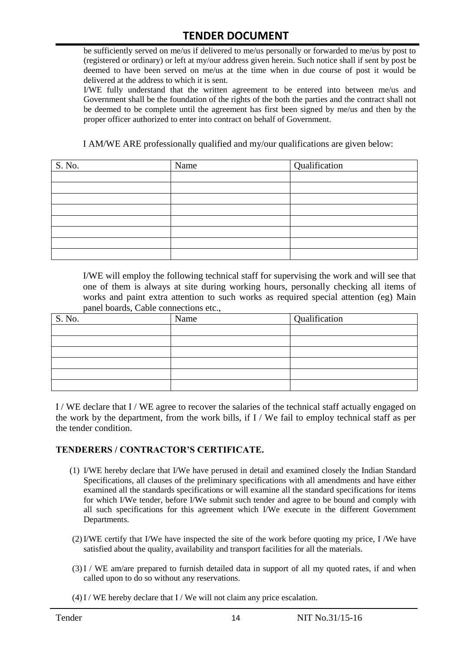be sufficiently served on me/us if delivered to me/us personally or forwarded to me/us by post to (registered or ordinary) or left at my/our address given herein. Such notice shall if sent by post be deemed to have been served on me/us at the time when in due course of post it would be delivered at the address to which it is sent.

I/WE fully understand that the written agreement to be entered into between me/us and Government shall be the foundation of the rights of the both the parties and the contract shall not be deemed to be complete until the agreement has first been signed by me/us and then by the proper officer authorized to enter into contract on behalf of Government.

I AM/WE ARE professionally qualified and my/our qualifications are given below:

| S. No. | Name | Qualification |
|--------|------|---------------|
|        |      |               |
|        |      |               |
|        |      |               |
|        |      |               |
|        |      |               |
|        |      |               |
|        |      |               |
|        |      |               |

I/WE will employ the following technical staff for supervising the work and will see that one of them is always at site during working hours, personally checking all items of works and paint extra attention to such works as required special attention (eg) Main panel boards, Cable connections etc.,

| S. No. | Name | Qualification |
|--------|------|---------------|
|        |      |               |
|        |      |               |
|        |      |               |
|        |      |               |
|        |      |               |
|        |      |               |

I / WE declare that I / WE agree to recover the salaries of the technical staff actually engaged on the work by the department, from the work bills, if I / We fail to employ technical staff as per the tender condition.

#### **TENDERERS / CONTRACTOR'S CERTIFICATE.**

- (1) I/WE hereby declare that I/We have perused in detail and examined closely the Indian Standard Specifications, all clauses of the preliminary specifications with all amendments and have either examined all the standards specifications or will examine all the standard specifications for items for which I/We tender, before I/We submit such tender and agree to be bound and comply with all such specifications for this agreement which I/We execute in the different Government Departments.
- (2)I/WE certify that I/We have inspected the site of the work before quoting my price, I /We have satisfied about the quality, availability and transport facilities for all the materials.
- (3)I / WE am/are prepared to furnish detailed data in support of all my quoted rates, if and when called upon to do so without any reservations.
- $(4)$  I / WE hereby declare that I / We will not claim any price escalation.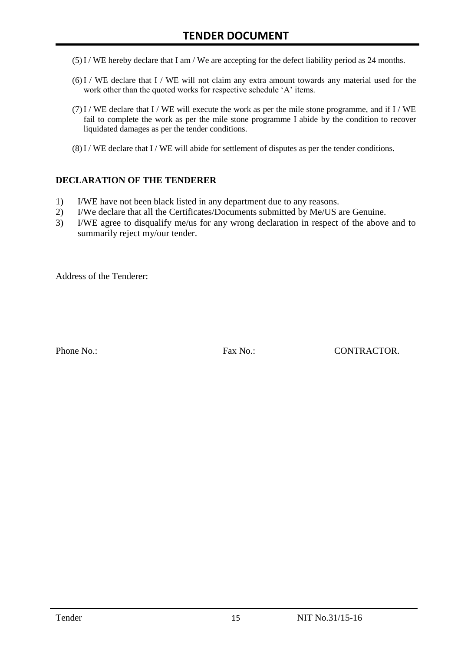- (5)I / WE hereby declare that I am / We are accepting for the defect liability period as 24 months.
- (6)I / WE declare that I / WE will not claim any extra amount towards any material used for the work other than the quoted works for respective schedule 'A' items.
- $(7)$ I / WE declare that I / WE will execute the work as per the mile stone programme, and if I / WE fail to complete the work as per the mile stone programme I abide by the condition to recover liquidated damages as per the tender conditions.
- $(8)$ I / WE declare that I / WE will abide for settlement of disputes as per the tender conditions.

#### **DECLARATION OF THE TENDERER**

- 1) I/WE have not been black listed in any department due to any reasons.
- 2) I/We declare that all the Certificates/Documents submitted by Me/US are Genuine.
- 3) I/WE agree to disqualify me/us for any wrong declaration in respect of the above and to summarily reject my/our tender.

Address of the Tenderer:

Phone No.: Fax No.: CONTRACTOR.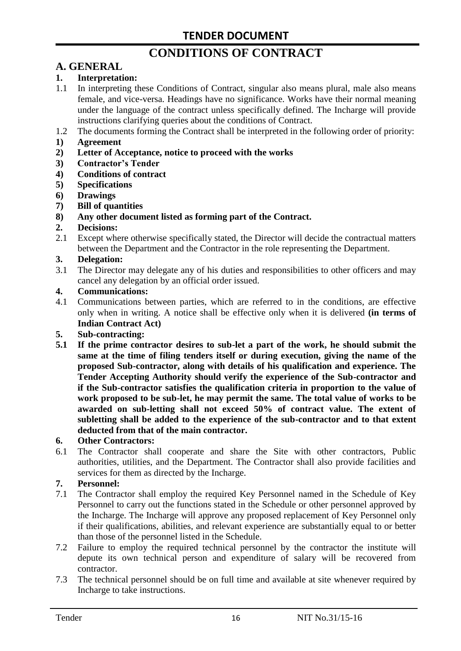# **CONDITIONS OF CONTRACT**

# **A. GENERAL**

#### **1. Interpretation:**

- 1.1 In interpreting these Conditions of Contract, singular also means plural, male also means female, and vice-versa. Headings have no significance. Works have their normal meaning under the language of the contract unless specifically defined. The Incharge will provide instructions clarifying queries about the conditions of Contract.
- 1.2 The documents forming the Contract shall be interpreted in the following order of priority:
- **1) Agreement**
- **2) Letter of Acceptance, notice to proceed with the works**
- **3) Contractor's Tender**
- **4) Conditions of contract**
- **5) Specifications**
- **6) Drawings**
- **7) Bill of quantities**
- **8) Any other document listed as forming part of the Contract.**

#### **2. Decisions:**

2.1 Except where otherwise specifically stated, the Director will decide the contractual matters between the Department and the Contractor in the role representing the Department.

#### **3. Delegation:**

3.1 The Director may delegate any of his duties and responsibilities to other officers and may cancel any delegation by an official order issued.

#### **4. Communications:**

4.1 Communications between parties, which are referred to in the conditions, are effective only when in writing. A notice shall be effective only when it is delivered **(in terms of Indian Contract Act)**

#### **5. Sub-contracting:**

**5.1 If the prime contractor desires to sub-let a part of the work, he should submit the same at the time of filing tenders itself or during execution, giving the name of the proposed Sub-contractor, along with details of his qualification and experience. The Tender Accepting Authority should verify the experience of the Sub-contractor and if the Sub-contractor satisfies the qualification criteria in proportion to the value of work proposed to be sub-let, he may permit the same. The total value of works to be awarded on sub-letting shall not exceed 50% of contract value. The extent of subletting shall be added to the experience of the sub-contractor and to that extent deducted from that of the main contractor.**

#### **6. Other Contractors:**

6.1 The Contractor shall cooperate and share the Site with other contractors, Public authorities, utilities, and the Department. The Contractor shall also provide facilities and services for them as directed by the Incharge.

#### **7. Personnel:**

- 7.1 The Contractor shall employ the required Key Personnel named in the Schedule of Key Personnel to carry out the functions stated in the Schedule or other personnel approved by the Incharge. The Incharge will approve any proposed replacement of Key Personnel only if their qualifications, abilities, and relevant experience are substantially equal to or better than those of the personnel listed in the Schedule.
- 7.2 Failure to employ the required technical personnel by the contractor the institute will depute its own technical person and expenditure of salary will be recovered from contractor.
- 7.3 The technical personnel should be on full time and available at site whenever required by Incharge to take instructions.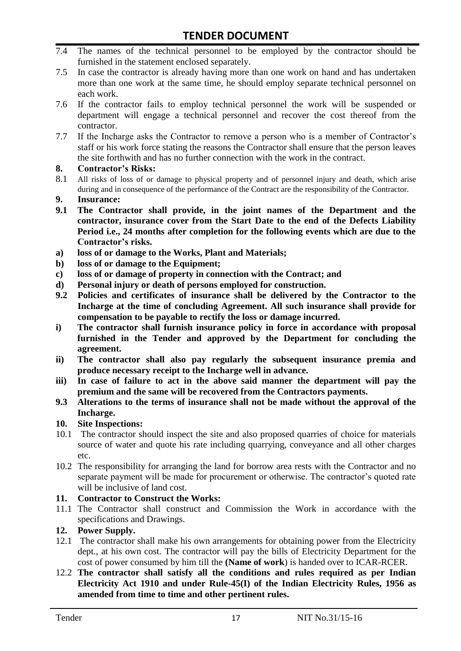- 7.4 The names of the technical personnel to be employed by the contractor should be furnished in the statement enclosed separately.
- 7.5 In case the contractor is already having more than one work on hand and has undertaken more than one work at the same time, he should employ separate technical personnel on each work.
- 7.6 If the contractor fails to employ technical personnel the work will be suspended or department will engage a technical personnel and recover the cost thereof from the contractor.
- 7.7 If the Incharge asks the Contractor to remove a person who is a member of Contractor"s staff or his work force stating the reasons the Contractor shall ensure that the person leaves the site forthwith and has no further connection with the work in the contract.

#### **8. Contractor's Risks:**

- 8.1 All risks of loss of or damage to physical property and of personnel injury and death, which arise during and in consequence of the performance of the Contract are the responsibility of the Contractor.
- **9. Insurance:**
- **9.1 The Contractor shall provide, in the joint names of the Department and the contractor, insurance cover from the Start Date to the end of the Defects Liability Period i.e., 24 months after completion for the following events which are due to the Contractor's risks.**
- **a) loss of or damage to the Works, Plant and Materials;**
- **b) loss of or damage to the Equipment;**
- **c) loss of or damage of property in connection with the Contract; and**
- **d) Personal injury or death of persons employed for construction.**
- **9.2 Policies and certificates of insurance shall be delivered by the Contractor to the Incharge at the time of concluding Agreement. All such insurance shall provide for compensation to be payable to rectify the loss or damage incurred.**
- **i) The contractor shall furnish insurance policy in force in accordance with proposal furnished in the Tender and approved by the Department for concluding the agreement.**
- **ii) The contractor shall also pay regularly the subsequent insurance premia and produce necessary receipt to the Incharge well in advance.**
- **iii) In case of failure to act in the above said manner the department will pay the premium and the same will be recovered from the Contractors payments.**
- **9.3 Alterations to the terms of insurance shall not be made without the approval of the Incharge.**

#### **10. Site Inspections:**

- 10.1 The contractor should inspect the site and also proposed quarries of choice for materials source of water and quote his rate including quarrying, conveyance and all other charges etc.
- 10.2 The responsibility for arranging the land for borrow area rests with the Contractor and no separate payment will be made for procurement or otherwise. The contractor's quoted rate will be inclusive of land cost.

#### **11. Contractor to Construct the Works:**

11.1 The Contractor shall construct and Commission the Work in accordance with the specifications and Drawings.

#### **12. Power Supply.**

- 12.1 The contractor shall make his own arrangements for obtaining power from the Electricity dept., at his own cost. The contractor will pay the bills of Electricity Department for the cost of power consumed by him till the **(Name of work**) is handed over to ICAR-RCER.
- 12.2 **The contractor shall satisfy all the conditions and rules required as per Indian Electricity Act 1910 and under Rule-45(I) of the Indian Electricity Rules, 1956 as amended from time to time and other pertinent rules.**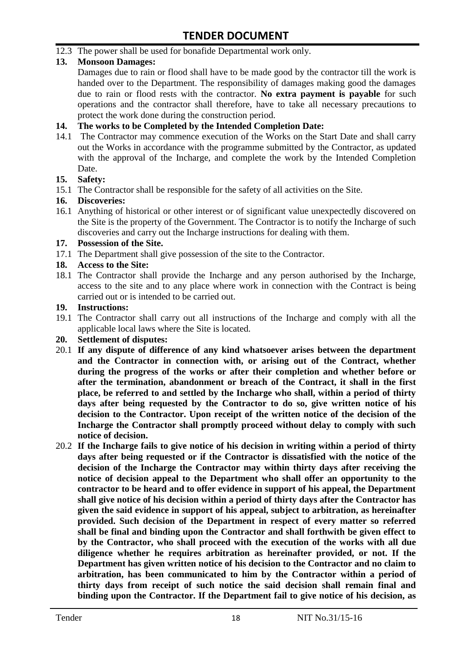12.3 The power shall be used for bonafide Departmental work only.

#### **13. Monsoon Damages:**

Damages due to rain or flood shall have to be made good by the contractor till the work is handed over to the Department. The responsibility of damages making good the damages due to rain or flood rests with the contractor. **No extra payment is payable** for such operations and the contractor shall therefore, have to take all necessary precautions to protect the work done during the construction period.

#### **14. The works to be Completed by the Intended Completion Date:**

14.1 The Contractor may commence execution of the Works on the Start Date and shall carry out the Works in accordance with the programme submitted by the Contractor, as updated with the approval of the Incharge, and complete the work by the Intended Completion Date.

#### **15. Safety:**

15.1 The Contractor shall be responsible for the safety of all activities on the Site.

#### **16. Discoveries:**

16.1 Anything of historical or other interest or of significant value unexpectedly discovered on the Site is the property of the Government. The Contractor is to notify the Incharge of such discoveries and carry out the Incharge instructions for dealing with them.

#### **17. Possession of the Site.**

17.1 The Department shall give possession of the site to the Contractor.

#### **18. Access to the Site:**

18.1 The Contractor shall provide the Incharge and any person authorised by the Incharge, access to the site and to any place where work in connection with the Contract is being carried out or is intended to be carried out.

#### **19. Instructions:**

- 19.1 The Contractor shall carry out all instructions of the Incharge and comply with all the applicable local laws where the Site is located.
- **20. Settlement of disputes:**
- 20.1 **If any dispute of difference of any kind whatsoever arises between the department and the Contractor in connection with, or arising out of the Contract, whether during the progress of the works or after their completion and whether before or after the termination, abandonment or breach of the Contract, it shall in the first place, be referred to and settled by the Incharge who shall, within a period of thirty days after being requested by the Contractor to do so, give written notice of his decision to the Contractor. Upon receipt of the written notice of the decision of the Incharge the Contractor shall promptly proceed without delay to comply with such notice of decision.**
- 20.2 **If the Incharge fails to give notice of his decision in writing within a period of thirty days after being requested or if the Contractor is dissatisfied with the notice of the decision of the Incharge the Contractor may within thirty days after receiving the notice of decision appeal to the Department who shall offer an opportunity to the contractor to be heard and to offer evidence in support of his appeal, the Department shall give notice of his decision within a period of thirty days after the Contractor has given the said evidence in support of his appeal, subject to arbitration, as hereinafter provided. Such decision of the Department in respect of every matter so referred shall be final and binding upon the Contractor and shall forthwith be given effect to by the Contractor, who shall proceed with the execution of the works with all due diligence whether he requires arbitration as hereinafter provided, or not. If the Department has given written notice of his decision to the Contractor and no claim to arbitration, has been communicated to him by the Contractor within a period of thirty days from receipt of such notice the said decision shall remain final and binding upon the Contractor. If the Department fail to give notice of his decision, as**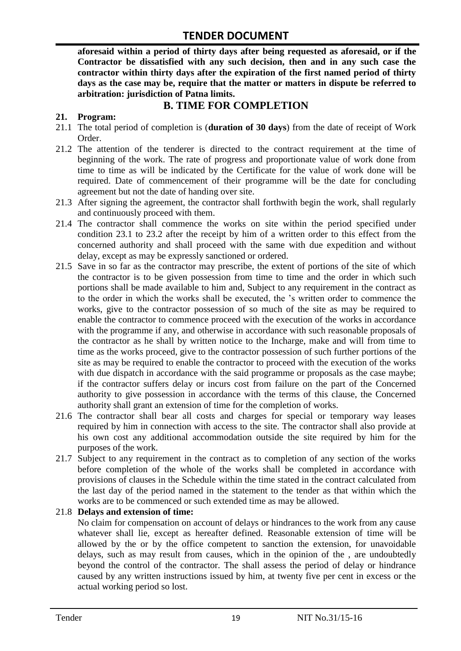**aforesaid within a period of thirty days after being requested as aforesaid, or if the Contractor be dissatisfied with any such decision, then and in any such case the contractor within thirty days after the expiration of the first named period of thirty days as the case may be, require that the matter or matters in dispute be referred to arbitration: jurisdiction of Patna limits.**

## **B. TIME FOR COMPLETION**

#### **21. Program:**

- 21.1 The total period of completion is (**duration of 30 days**) from the date of receipt of Work Order.
- 21.2 The attention of the tenderer is directed to the contract requirement at the time of beginning of the work. The rate of progress and proportionate value of work done from time to time as will be indicated by the Certificate for the value of work done will be required. Date of commencement of their programme will be the date for concluding agreement but not the date of handing over site.
- 21.3 After signing the agreement, the contractor shall forthwith begin the work, shall regularly and continuously proceed with them.
- 21.4 The contractor shall commence the works on site within the period specified under condition 23.1 to 23.2 after the receipt by him of a written order to this effect from the concerned authority and shall proceed with the same with due expedition and without delay, except as may be expressly sanctioned or ordered.
- 21.5 Save in so far as the contractor may prescribe, the extent of portions of the site of which the contractor is to be given possession from time to time and the order in which such portions shall be made available to him and, Subject to any requirement in the contract as to the order in which the works shall be executed, the "s written order to commence the works, give to the contractor possession of so much of the site as may be required to enable the contractor to commence proceed with the execution of the works in accordance with the programme if any, and otherwise in accordance with such reasonable proposals of the contractor as he shall by written notice to the Incharge, make and will from time to time as the works proceed, give to the contractor possession of such further portions of the site as may be required to enable the contractor to proceed with the execution of the works with due dispatch in accordance with the said programme or proposals as the case maybe; if the contractor suffers delay or incurs cost from failure on the part of the Concerned authority to give possession in accordance with the terms of this clause, the Concerned authority shall grant an extension of time for the completion of works.
- 21.6 The contractor shall bear all costs and charges for special or temporary way leases required by him in connection with access to the site. The contractor shall also provide at his own cost any additional accommodation outside the site required by him for the purposes of the work.
- 21.7 Subject to any requirement in the contract as to completion of any section of the works before completion of the whole of the works shall be completed in accordance with provisions of clauses in the Schedule within the time stated in the contract calculated from the last day of the period named in the statement to the tender as that within which the works are to be commenced or such extended time as may be allowed.

#### 21.8 **Delays and extension of time:**

No claim for compensation on account of delays or hindrances to the work from any cause whatever shall lie, except as hereafter defined. Reasonable extension of time will be allowed by the or by the office competent to sanction the extension, for unavoidable delays, such as may result from causes, which in the opinion of the , are undoubtedly beyond the control of the contractor. The shall assess the period of delay or hindrance caused by any written instructions issued by him, at twenty five per cent in excess or the actual working period so lost.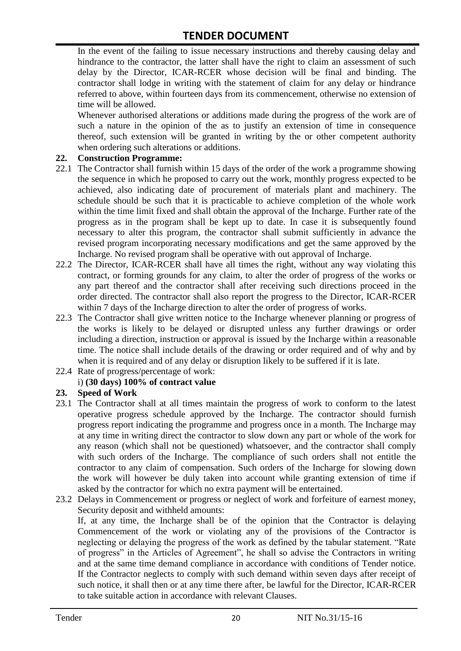In the event of the failing to issue necessary instructions and thereby causing delay and hindrance to the contractor, the latter shall have the right to claim an assessment of such delay by the Director, ICAR-RCER whose decision will be final and binding. The contractor shall lodge in writing with the statement of claim for any delay or hindrance referred to above, within fourteen days from its commencement, otherwise no extension of time will be allowed.

Whenever authorised alterations or additions made during the progress of the work are of such a nature in the opinion of the as to justify an extension of time in consequence thereof, such extension will be granted in writing by the or other competent authority when ordering such alterations or additions.

#### **22. Construction Programme:**

- 22.1 The Contractor shall furnish within 15 days of the order of the work a programme showing the sequence in which he proposed to carry out the work, monthly progress expected to be achieved, also indicating date of procurement of materials plant and machinery. The schedule should be such that it is practicable to achieve completion of the whole work within the time limit fixed and shall obtain the approval of the Incharge. Further rate of the progress as in the program shall be kept up to date. In case it is subsequently found necessary to alter this program, the contractor shall submit sufficiently in advance the revised program incorporating necessary modifications and get the same approved by the Incharge. No revised program shall be operative with out approval of Incharge.
- 22.2 The Director, ICAR-RCER shall have all times the right, without any way violating this contract, or forming grounds for any claim, to alter the order of progress of the works or any part thereof and the contractor shall after receiving such directions proceed in the order directed. The contractor shall also report the progress to the Director, ICAR-RCER within 7 days of the Incharge direction to alter the order of progress of works.
- 22.3 The Contractor shall give written notice to the Incharge whenever planning or progress of the works is likely to be delayed or disrupted unless any further drawings or order including a direction, instruction or approval is issued by the Incharge within a reasonable time. The notice shall include details of the drawing or order required and of why and by when it is required and of any delay or disruption likely to be suffered if it is late.
- 22.4 Rate of progress/percentage of work:

#### i) **(30 days) 100% of contract value**

#### **23. Speed of Work**

- 23.1 The Contractor shall at all times maintain the progress of work to conform to the latest operative progress schedule approved by the Incharge. The contractor should furnish progress report indicating the programme and progress once in a month. The Incharge may at any time in writing direct the contractor to slow down any part or whole of the work for any reason (which shall not be questioned) whatsoever, and the contractor shall comply with such orders of the Incharge. The compliance of such orders shall not entitle the contractor to any claim of compensation. Such orders of the Incharge for slowing down the work will however be duly taken into account while granting extension of time if asked by the contractor for which no extra payment will be entertained.
- 23.2 Delays in Commencement or progress or neglect of work and forfeiture of earnest money, Security deposit and withheld amounts:

If, at any time, the Incharge shall be of the opinion that the Contractor is delaying Commencement of the work or violating any of the provisions of the Contractor is neglecting or delaying the progress of the work as defined by the tabular statement. "Rate of progress" in the Articles of Agreement", he shall so advise the Contractors in writing and at the same time demand compliance in accordance with conditions of Tender notice. If the Contractor neglects to comply with such demand within seven days after receipt of such notice, it shall then or at any time there after, be lawful for the Director, ICAR-RCER to take suitable action in accordance with relevant Clauses.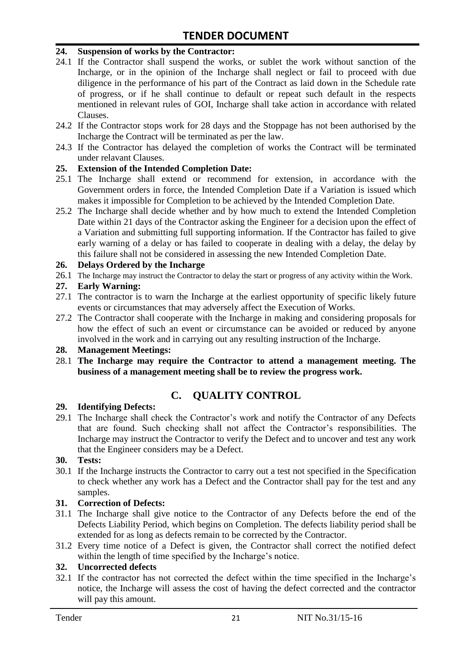#### **24. Suspension of works by the Contractor:**

- 24.1 If the Contractor shall suspend the works, or sublet the work without sanction of the Incharge, or in the opinion of the Incharge shall neglect or fail to proceed with due diligence in the performance of his part of the Contract as laid down in the Schedule rate of progress, or if he shall continue to default or repeat such default in the respects mentioned in relevant rules of GOI, Incharge shall take action in accordance with related Clauses.
- 24.2 If the Contractor stops work for 28 days and the Stoppage has not been authorised by the Incharge the Contract will be terminated as per the law.
- 24.3 If the Contractor has delayed the completion of works the Contract will be terminated under relavant Clauses.

#### **25. Extension of the Intended Completion Date:**

- 25.1 The Incharge shall extend or recommend for extension, in accordance with the Government orders in force, the Intended Completion Date if a Variation is issued which makes it impossible for Completion to be achieved by the Intended Completion Date.
- 25.2 The Incharge shall decide whether and by how much to extend the Intended Completion Date within 21 days of the Contractor asking the Engineer for a decision upon the effect of a Variation and submitting full supporting information. If the Contractor has failed to give early warning of a delay or has failed to cooperate in dealing with a delay, the delay by this failure shall not be considered in assessing the new Intended Completion Date.

#### **26. Delays Ordered by the Incharge**

26.1 The Incharge may instruct the Contractor to delay the start or progress of any activity within the Work.

#### **27. Early Warning:**

- 27.1 The contractor is to warn the Incharge at the earliest opportunity of specific likely future events or circumstances that may adversely affect the Execution of Works.
- 27.2 The Contractor shall cooperate with the Incharge in making and considering proposals for how the effect of such an event or circumstance can be avoided or reduced by anyone involved in the work and in carrying out any resulting instruction of the Incharge.

#### **28. Management Meetings:**

28.1 **The Incharge may require the Contractor to attend a management meeting. The business of a management meeting shall be to review the progress work.**

## **C. QUALITY CONTROL**

#### **29. Identifying Defects:**

29.1 The Incharge shall check the Contractor's work and notify the Contractor of any Defects that are found. Such checking shall not affect the Contractor"s responsibilities. The Incharge may instruct the Contractor to verify the Defect and to uncover and test any work that the Engineer considers may be a Defect.

#### **30. Tests:**

30.1 If the Incharge instructs the Contractor to carry out a test not specified in the Specification to check whether any work has a Defect and the Contractor shall pay for the test and any samples.

#### **31. Correction of Defects:**

- 31.1 The Incharge shall give notice to the Contractor of any Defects before the end of the Defects Liability Period, which begins on Completion. The defects liability period shall be extended for as long as defects remain to be corrected by the Contractor.
- 31.2 Every time notice of a Defect is given, the Contractor shall correct the notified defect within the length of time specified by the Incharge's notice.

#### **32. Uncorrected defects**

32.1 If the contractor has not corrected the defect within the time specified in the Incharge"s notice, the Incharge will assess the cost of having the defect corrected and the contractor will pay this amount.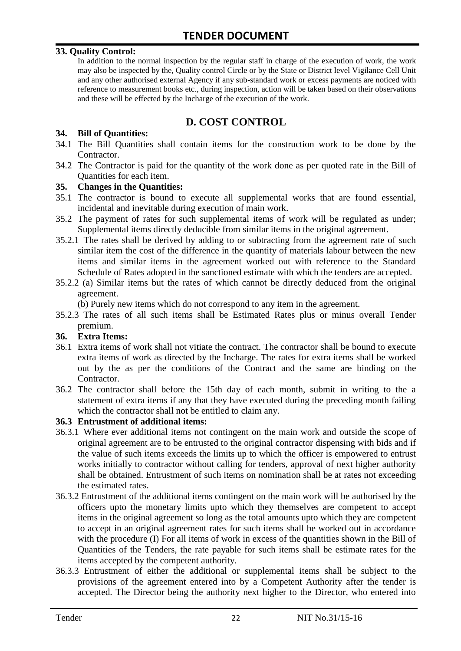#### **33. Quality Control:**

In addition to the normal inspection by the regular staff in charge of the execution of work, the work may also be inspected by the, Quality control Circle or by the State or District level Vigilance Cell Unit and any other authorised external Agency if any sub-standard work or excess payments are noticed with reference to measurement books etc., during inspection, action will be taken based on their observations and these will be effected by the Incharge of the execution of the work.

# **D. COST CONTROL**

#### **34. Bill of Quantities:**

- 34.1 The Bill Quantities shall contain items for the construction work to be done by the Contractor.
- 34.2 The Contractor is paid for the quantity of the work done as per quoted rate in the Bill of Quantities for each item.

#### **35. Changes in the Quantities:**

- 35.1 The contractor is bound to execute all supplemental works that are found essential, incidental and inevitable during execution of main work.
- 35.2 The payment of rates for such supplemental items of work will be regulated as under; Supplemental items directly deducible from similar items in the original agreement.
- 35.2.1 The rates shall be derived by adding to or subtracting from the agreement rate of such similar item the cost of the difference in the quantity of materials labour between the new items and similar items in the agreement worked out with reference to the Standard Schedule of Rates adopted in the sanctioned estimate with which the tenders are accepted.
- 35.2.2 (a) Similar items but the rates of which cannot be directly deduced from the original agreement.

(b) Purely new items which do not correspond to any item in the agreement.

35.2.3 The rates of all such items shall be Estimated Rates plus or minus overall Tender premium.

#### **36. Extra Items:**

- 36.1 Extra items of work shall not vitiate the contract. The contractor shall be bound to execute extra items of work as directed by the Incharge. The rates for extra items shall be worked out by the as per the conditions of the Contract and the same are binding on the Contractor.
- 36.2 The contractor shall before the 15th day of each month, submit in writing to the a statement of extra items if any that they have executed during the preceding month failing which the contractor shall not be entitled to claim any.

#### **36.3 Entrustment of additional items:**

- 36.3.1 Where ever additional items not contingent on the main work and outside the scope of original agreement are to be entrusted to the original contractor dispensing with bids and if the value of such items exceeds the limits up to which the officer is empowered to entrust works initially to contractor without calling for tenders, approval of next higher authority shall be obtained. Entrustment of such items on nomination shall be at rates not exceeding the estimated rates.
- 36.3.2 Entrustment of the additional items contingent on the main work will be authorised by the officers upto the monetary limits upto which they themselves are competent to accept items in the original agreement so long as the total amounts upto which they are competent to accept in an original agreement rates for such items shall be worked out in accordance with the procedure (I) For all items of work in excess of the quantities shown in the Bill of Quantities of the Tenders, the rate payable for such items shall be estimate rates for the items accepted by the competent authority.
- 36.3.3 Entrustment of either the additional or supplemental items shall be subject to the provisions of the agreement entered into by a Competent Authority after the tender is accepted. The Director being the authority next higher to the Director, who entered into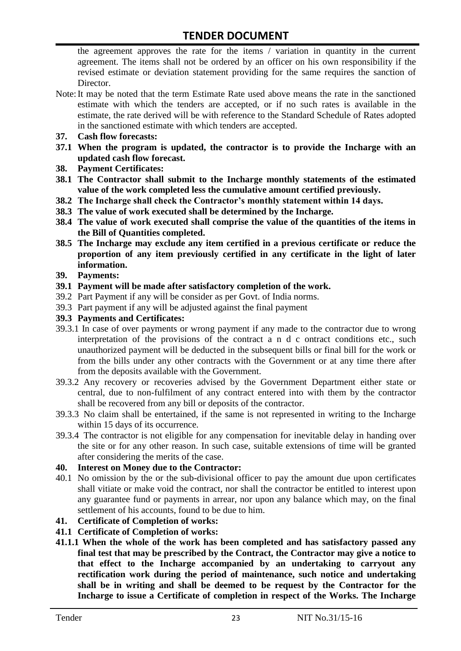the agreement approves the rate for the items / variation in quantity in the current agreement. The items shall not be ordered by an officer on his own responsibility if the revised estimate or deviation statement providing for the same requires the sanction of Director.

- Note:It may be noted that the term Estimate Rate used above means the rate in the sanctioned estimate with which the tenders are accepted, or if no such rates is available in the estimate, the rate derived will be with reference to the Standard Schedule of Rates adopted in the sanctioned estimate with which tenders are accepted.
- **37. Cash flow forecasts:**
- **37.1 When the program is updated, the contractor is to provide the Incharge with an updated cash flow forecast.**
- **38. Payment Certificates:**
- **38.1 The Contractor shall submit to the Incharge monthly statements of the estimated value of the work completed less the cumulative amount certified previously.**
- **38.2 The Incharge shall check the Contractor's monthly statement within 14 days.**
- **38.3 The value of work executed shall be determined by the Incharge.**
- **38.4 The value of work executed shall comprise the value of the quantities of the items in the Bill of Quantities completed.**
- **38.5 The Incharge may exclude any item certified in a previous certificate or reduce the proportion of any item previously certified in any certificate in the light of later information.**
- **39. Payments:**
- **39.1 Payment will be made after satisfactory completion of the work.**
- 39.2 Part Payment if any will be consider as per Govt. of India norms.
- 39.3 Part payment if any will be adjusted against the final payment
- **39.3 Payments and Certificates:**
- 39.3.1 In case of over payments or wrong payment if any made to the contractor due to wrong interpretation of the provisions of the contract a n d c ontract conditions etc., such unauthorized payment will be deducted in the subsequent bills or final bill for the work or from the bills under any other contracts with the Government or at any time there after from the deposits available with the Government.
- 39.3.2 Any recovery or recoveries advised by the Government Department either state or central, due to non-fulfilment of any contract entered into with them by the contractor shall be recovered from any bill or deposits of the contractor.
- 39.3.3 No claim shall be entertained, if the same is not represented in writing to the Incharge within 15 days of its occurrence.
- 39.3.4 The contractor is not eligible for any compensation for inevitable delay in handing over the site or for any other reason. In such case, suitable extensions of time will be granted after considering the merits of the case.

#### **40. Interest on Money due to the Contractor:**

- 40.1 No omission by the or the sub-divisional officer to pay the amount due upon certificates shall vitiate or make void the contract, nor shall the contractor be entitled to interest upon any guarantee fund or payments in arrear, nor upon any balance which may, on the final settlement of his accounts, found to be due to him.
- **41. Certificate of Completion of works:**
- **41.1 Certificate of Completion of works:**
- **41.1.1 When the whole of the work has been completed and has satisfactory passed any final test that may be prescribed by the Contract, the Contractor may give a notice to that effect to the Incharge accompanied by an undertaking to carryout any rectification work during the period of maintenance, such notice and undertaking shall be in writing and shall be deemed to be request by the Contractor for the Incharge to issue a Certificate of completion in respect of the Works. The Incharge**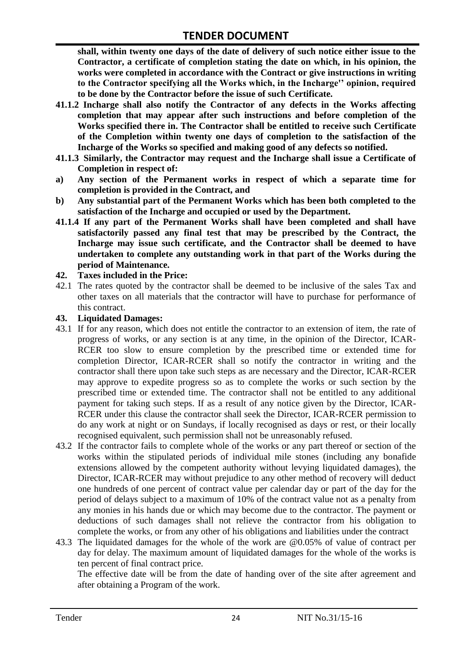**shall, within twenty one days of the date of delivery of such notice either issue to the Contractor, a certificate of completion stating the date on which, in his opinion, the works were completed in accordance with the Contract or give instructions in writing to the Contractor specifying all the Works which, in the Incharge'' opinion, required to be done by the Contractor before the issue of such Certificate.**

- **41.1.2 Incharge shall also notify the Contractor of any defects in the Works affecting completion that may appear after such instructions and before completion of the Works specified there in. The Contractor shall be entitled to receive such Certificate of the Completion within twenty one days of completion to the satisfaction of the Incharge of the Works so specified and making good of any defects so notified.**
- **41.1.3 Similarly, the Contractor may request and the Incharge shall issue a Certificate of Completion in respect of:**
- **a) Any section of the Permanent works in respect of which a separate time for completion is provided in the Contract, and**
- **b) Any substantial part of the Permanent Works which has been both completed to the satisfaction of the Incharge and occupied or used by the Department.**
- **41.1.4 If any part of the Permanent Works shall have been completed and shall have satisfactorily passed any final test that may be prescribed by the Contract, the Incharge may issue such certificate, and the Contractor shall be deemed to have undertaken to complete any outstanding work in that part of the Works during the period of Maintenance.**

#### **42. Taxes included in the Price:**

42.1 The rates quoted by the contractor shall be deemed to be inclusive of the sales Tax and other taxes on all materials that the contractor will have to purchase for performance of this contract.

#### **43. Liquidated Damages:**

- 43.1 If for any reason, which does not entitle the contractor to an extension of item, the rate of progress of works, or any section is at any time, in the opinion of the Director, ICAR-RCER too slow to ensure completion by the prescribed time or extended time for completion Director, ICAR-RCER shall so notify the contractor in writing and the contractor shall there upon take such steps as are necessary and the Director, ICAR-RCER may approve to expedite progress so as to complete the works or such section by the prescribed time or extended time. The contractor shall not be entitled to any additional payment for taking such steps. If as a result of any notice given by the Director, ICAR-RCER under this clause the contractor shall seek the Director, ICAR-RCER permission to do any work at night or on Sundays, if locally recognised as days or rest, or their locally recognised equivalent, such permission shall not be unreasonably refused.
- 43.2 If the contractor fails to complete whole of the works or any part thereof or section of the works within the stipulated periods of individual mile stones (including any bonafide extensions allowed by the competent authority without levying liquidated damages), the Director, ICAR-RCER may without prejudice to any other method of recovery will deduct one hundreds of one percent of contract value per calendar day or part of the day for the period of delays subject to a maximum of 10% of the contract value not as a penalty from any monies in his hands due or which may become due to the contractor. The payment or deductions of such damages shall not relieve the contractor from his obligation to complete the works, or from any other of his obligations and liabilities under the contract
- 43.3 The liquidated damages for the whole of the work are @0.05% of value of contract per day for delay. The maximum amount of liquidated damages for the whole of the works is ten percent of final contract price.

The effective date will be from the date of handing over of the site after agreement and after obtaining a Program of the work.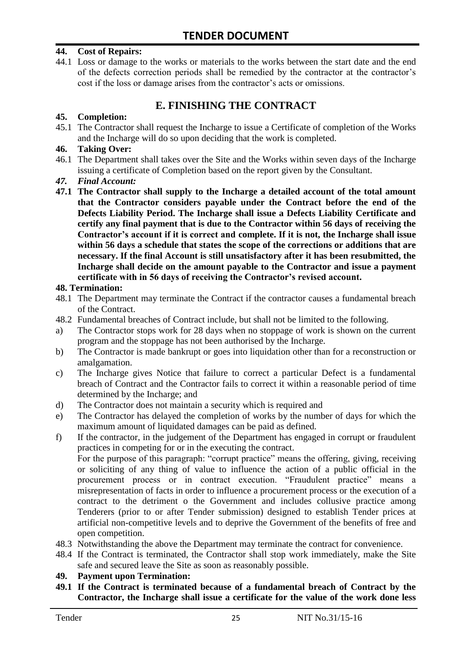#### **44. Cost of Repairs:**

44.1 Loss or damage to the works or materials to the works between the start date and the end of the defects correction periods shall be remedied by the contractor at the contractor"s cost if the loss or damage arises from the contractor's acts or omissions.

# **E. FINISHING THE CONTRACT**

#### **45. Completion:**

45.1 The Contractor shall request the Incharge to issue a Certificate of completion of the Works and the Incharge will do so upon deciding that the work is completed.

#### **46. Taking Over:**

- 46.1 The Department shall takes over the Site and the Works within seven days of the Incharge issuing a certificate of Completion based on the report given by the Consultant.
- *47. Final Account:*
- **47.1 The Contractor shall supply to the Incharge a detailed account of the total amount that the Contractor considers payable under the Contract before the end of the Defects Liability Period. The Incharge shall issue a Defects Liability Certificate and certify any final payment that is due to the Contractor within 56 days of receiving the Contractor's account if it is correct and complete. If it is not, the Incharge shall issue within 56 days a schedule that states the scope of the corrections or additions that are necessary. If the final Account is still unsatisfactory after it has been resubmitted, the Incharge shall decide on the amount payable to the Contractor and issue a payment certificate with in 56 days of receiving the Contractor's revised account.**

#### **48. Termination:**

- 48.1 The Department may terminate the Contract if the contractor causes a fundamental breach of the Contract.
- 48.2 Fundamental breaches of Contract include, but shall not be limited to the following.
- a) The Contractor stops work for 28 days when no stoppage of work is shown on the current program and the stoppage has not been authorised by the Incharge.
- b) The Contractor is made bankrupt or goes into liquidation other than for a reconstruction or amalgamation.
- c) The Incharge gives Notice that failure to correct a particular Defect is a fundamental breach of Contract and the Contractor fails to correct it within a reasonable period of time determined by the Incharge; and
- d) The Contractor does not maintain a security which is required and
- e) The Contractor has delayed the completion of works by the number of days for which the maximum amount of liquidated damages can be paid as defined.
- f) If the contractor, in the judgement of the Department has engaged in corrupt or fraudulent practices in competing for or in the executing the contract.

For the purpose of this paragraph: "corrupt practice" means the offering, giving, receiving or soliciting of any thing of value to influence the action of a public official in the procurement process or in contract execution. "Fraudulent practice" means a misrepresentation of facts in order to influence a procurement process or the execution of a contract to the detriment o the Government and includes collusive practice among Tenderers (prior to or after Tender submission) designed to establish Tender prices at artificial non-competitive levels and to deprive the Government of the benefits of free and open competition.

- 48.3 Notwithstanding the above the Department may terminate the contract for convenience.
- 48.4 If the Contract is terminated, the Contractor shall stop work immediately, make the Site safe and secured leave the Site as soon as reasonably possible.

#### **49. Payment upon Termination:**

**49.1 If the Contract is terminated because of a fundamental breach of Contract by the Contractor, the Incharge shall issue a certificate for the value of the work done less**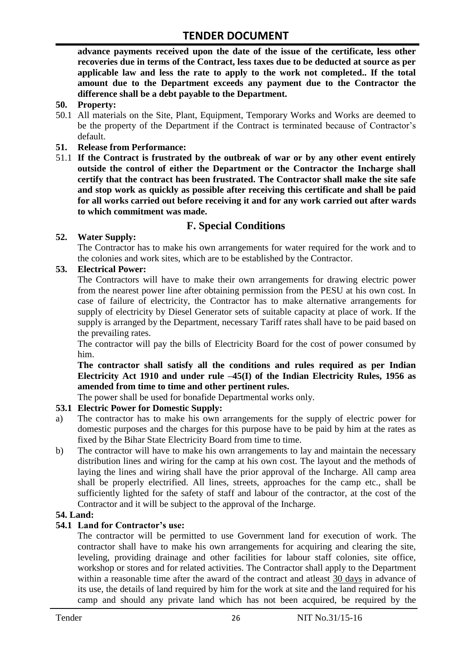**advance payments received upon the date of the issue of the certificate, less other recoveries due in terms of the Contract, less taxes due to be deducted at source as per applicable law and less the rate to apply to the work not completed.. If the total amount due to the Department exceeds any payment due to the Contractor the difference shall be a debt payable to the Department.**

- **50. Property:**
- 50.1 All materials on the Site, Plant, Equipment, Temporary Works and Works are deemed to be the property of the Department if the Contract is terminated because of Contractor's default.
- **51. Release from Performance:**
- 51.1 **If the Contract is frustrated by the outbreak of war or by any other event entirely outside the control of either the Department or the Contractor the Incharge shall certify that the contract has been frustrated. The Contractor shall make the site safe and stop work as quickly as possible after receiving this certificate and shall be paid for all works carried out before receiving it and for any work carried out after wards to which commitment was made.**

# **F. Special Conditions**

#### **52. Water Supply:**

The Contractor has to make his own arrangements for water required for the work and to the colonies and work sites, which are to be established by the Contractor.

#### **53. Electrical Power:**

The Contractors will have to make their own arrangements for drawing electric power from the nearest power line after obtaining permission from the PESU at his own cost. In case of failure of electricity, the Contractor has to make alternative arrangements for supply of electricity by Diesel Generator sets of suitable capacity at place of work. If the supply is arranged by the Department, necessary Tariff rates shall have to be paid based on the prevailing rates.

The contractor will pay the bills of Electricity Board for the cost of power consumed by him.

**The contractor shall satisfy all the conditions and rules required as per Indian Electricity Act 1910 and under rule –45(I) of the Indian Electricity Rules, 1956 as amended from time to time and other pertinent rules.**

The power shall be used for bonafide Departmental works only.

#### **53.1 Electric Power for Domestic Supply:**

- a) The contractor has to make his own arrangements for the supply of electric power for domestic purposes and the charges for this purpose have to be paid by him at the rates as fixed by the Bihar State Electricity Board from time to time.
- b) The contractor will have to make his own arrangements to lay and maintain the necessary distribution lines and wiring for the camp at his own cost. The layout and the methods of laying the lines and wiring shall have the prior approval of the Incharge. All camp area shall be properly electrified. All lines, streets, approaches for the camp etc., shall be sufficiently lighted for the safety of staff and labour of the contractor, at the cost of the Contractor and it will be subject to the approval of the Incharge.

#### **54. Land:**

#### **54.1 Land for Contractor's use:**

The contractor will be permitted to use Government land for execution of work. The contractor shall have to make his own arrangements for acquiring and clearing the site, leveling, providing drainage and other facilities for labour staff colonies, site office, workshop or stores and for related activities. The Contractor shall apply to the Department within a reasonable time after the award of the contract and atleast 30 days in advance of its use, the details of land required by him for the work at site and the land required for his camp and should any private land which has not been acquired, be required by the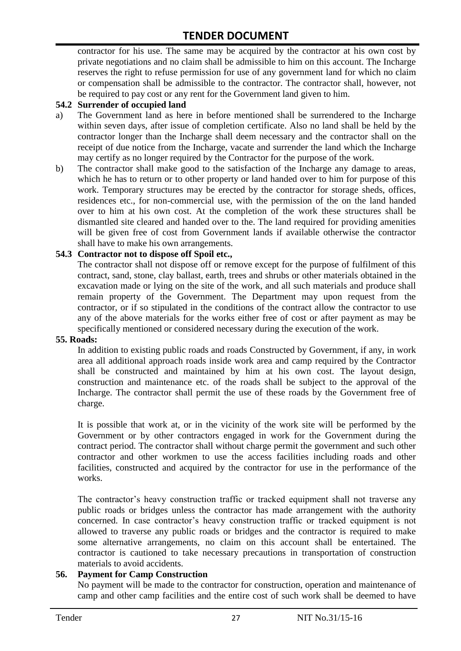contractor for his use. The same may be acquired by the contractor at his own cost by private negotiations and no claim shall be admissible to him on this account. The Incharge reserves the right to refuse permission for use of any government land for which no claim or compensation shall be admissible to the contractor. The contractor shall, however, not be required to pay cost or any rent for the Government land given to him.

#### **54.2 Surrender of occupied land**

- a) The Government land as here in before mentioned shall be surrendered to the Incharge within seven days, after issue of completion certificate. Also no land shall be held by the contractor longer than the Incharge shall deem necessary and the contractor shall on the receipt of due notice from the Incharge, vacate and surrender the land which the Incharge may certify as no longer required by the Contractor for the purpose of the work.
- b) The contractor shall make good to the satisfaction of the Incharge any damage to areas, which he has to return or to other property or land handed over to him for purpose of this work. Temporary structures may be erected by the contractor for storage sheds, offices, residences etc., for non-commercial use, with the permission of the on the land handed over to him at his own cost. At the completion of the work these structures shall be dismantled site cleared and handed over to the. The land required for providing amenities will be given free of cost from Government lands if available otherwise the contractor shall have to make his own arrangements.

#### **54.3 Contractor not to dispose off Spoil etc.,**

The contractor shall not dispose off or remove except for the purpose of fulfilment of this contract, sand, stone, clay ballast, earth, trees and shrubs or other materials obtained in the excavation made or lying on the site of the work, and all such materials and produce shall remain property of the Government. The Department may upon request from the contractor, or if so stipulated in the conditions of the contract allow the contractor to use any of the above materials for the works either free of cost or after payment as may be specifically mentioned or considered necessary during the execution of the work.

#### **55. Roads:**

In addition to existing public roads and roads Constructed by Government, if any, in work area all additional approach roads inside work area and camp required by the Contractor shall be constructed and maintained by him at his own cost. The layout design, construction and maintenance etc. of the roads shall be subject to the approval of the Incharge. The contractor shall permit the use of these roads by the Government free of charge.

It is possible that work at, or in the vicinity of the work site will be performed by the Government or by other contractors engaged in work for the Government during the contract period. The contractor shall without charge permit the government and such other contractor and other workmen to use the access facilities including roads and other facilities, constructed and acquired by the contractor for use in the performance of the works.

The contractor's heavy construction traffic or tracked equipment shall not traverse any public roads or bridges unless the contractor has made arrangement with the authority concerned. In case contractor"s heavy construction traffic or tracked equipment is not allowed to traverse any public roads or bridges and the contractor is required to make some alternative arrangements, no claim on this account shall be entertained. The contractor is cautioned to take necessary precautions in transportation of construction materials to avoid accidents.

#### **56. Payment for Camp Construction**

No payment will be made to the contractor for construction, operation and maintenance of camp and other camp facilities and the entire cost of such work shall be deemed to have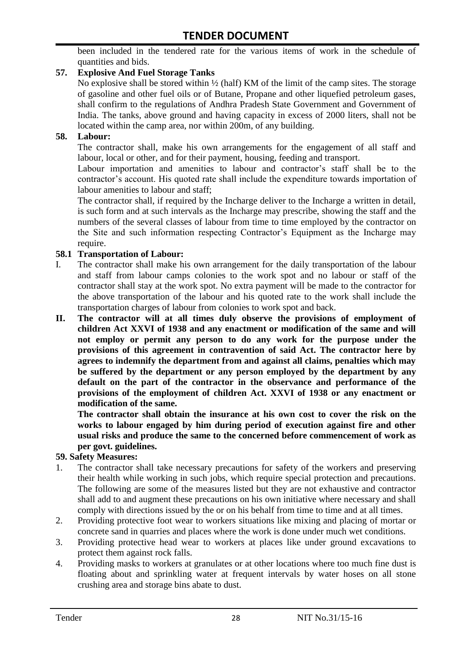been included in the tendered rate for the various items of work in the schedule of quantities and bids.

#### **57. Explosive And Fuel Storage Tanks**

No explosive shall be stored within  $\frac{1}{2}$  (half) KM of the limit of the camp sites. The storage of gasoline and other fuel oils or of Butane, Propane and other liquefied petroleum gases, shall confirm to the regulations of Andhra Pradesh State Government and Government of India. The tanks, above ground and having capacity in excess of 2000 liters, shall not be located within the camp area, nor within 200m, of any building.

#### **58. Labour:**

The contractor shall, make his own arrangements for the engagement of all staff and labour, local or other, and for their payment, housing, feeding and transport.

Labour importation and amenities to labour and contractor's staff shall be to the contractor's account. His quoted rate shall include the expenditure towards importation of labour amenities to labour and staff;

The contractor shall, if required by the Incharge deliver to the Incharge a written in detail, is such form and at such intervals as the Incharge may prescribe, showing the staff and the numbers of the several classes of labour from time to time employed by the contractor on the Site and such information respecting Contractor"s Equipment as the Incharge may require.

#### **58.1 Transportation of Labour:**

- I. The contractor shall make his own arrangement for the daily transportation of the labour and staff from labour camps colonies to the work spot and no labour or staff of the contractor shall stay at the work spot. No extra payment will be made to the contractor for the above transportation of the labour and his quoted rate to the work shall include the transportation charges of labour from colonies to work spot and back.
- **II. The contractor will at all times duly observe the provisions of employment of children Act XXVI of 1938 and any enactment or modification of the same and will not employ or permit any person to do any work for the purpose under the provisions of this agreement in contravention of said Act. The contractor here by agrees to indemnify the department from and against all claims, penalties which may be suffered by the department or any person employed by the department by any default on the part of the contractor in the observance and performance of the provisions of the employment of children Act. XXVI of 1938 or any enactment or modification of the same.**

**The contractor shall obtain the insurance at his own cost to cover the risk on the works to labour engaged by him during period of execution against fire and other usual risks and produce the same to the concerned before commencement of work as per govt. guidelines.**

#### **59. Safety Measures:**

- 1. The contractor shall take necessary precautions for safety of the workers and preserving their health while working in such jobs, which require special protection and precautions. The following are some of the measures listed but they are not exhaustive and contractor shall add to and augment these precautions on his own initiative where necessary and shall comply with directions issued by the or on his behalf from time to time and at all times.
- 2. Providing protective foot wear to workers situations like mixing and placing of mortar or concrete sand in quarries and places where the work is done under much wet conditions.
- 3. Providing protective head wear to workers at places like under ground excavations to protect them against rock falls.
- 4. Providing masks to workers at granulates or at other locations where too much fine dust is floating about and sprinkling water at frequent intervals by water hoses on all stone crushing area and storage bins abate to dust.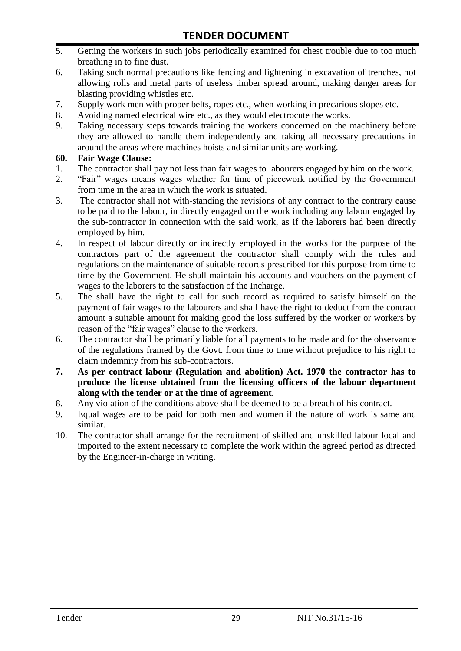- 5. Getting the workers in such jobs periodically examined for chest trouble due to too much breathing in to fine dust.
- 6. Taking such normal precautions like fencing and lightening in excavation of trenches, not allowing rolls and metal parts of useless timber spread around, making danger areas for blasting providing whistles etc.
- 7. Supply work men with proper belts, ropes etc., when working in precarious slopes etc.
- 8. Avoiding named electrical wire etc., as they would electrocute the works.
- 9. Taking necessary steps towards training the workers concerned on the machinery before they are allowed to handle them independently and taking all necessary precautions in around the areas where machines hoists and similar units are working.

#### **60. Fair Wage Clause:**

- 1. The contractor shall pay not less than fair wages to labourers engaged by him on the work.
- 2. "Fair" wages means wages whether for time of piecework notified by the Government from time in the area in which the work is situated.
- 3. The contractor shall not with-standing the revisions of any contract to the contrary cause to be paid to the labour, in directly engaged on the work including any labour engaged by the sub-contractor in connection with the said work, as if the laborers had been directly employed by him.
- 4. In respect of labour directly or indirectly employed in the works for the purpose of the contractors part of the agreement the contractor shall comply with the rules and regulations on the maintenance of suitable records prescribed for this purpose from time to time by the Government. He shall maintain his accounts and vouchers on the payment of wages to the laborers to the satisfaction of the Incharge.
- 5. The shall have the right to call for such record as required to satisfy himself on the payment of fair wages to the labourers and shall have the right to deduct from the contract amount a suitable amount for making good the loss suffered by the worker or workers by reason of the "fair wages" clause to the workers.
- 6. The contractor shall be primarily liable for all payments to be made and for the observance of the regulations framed by the Govt. from time to time without prejudice to his right to claim indemnity from his sub-contractors.
- **7. As per contract labour (Regulation and abolition) Act. 1970 the contractor has to produce the license obtained from the licensing officers of the labour department along with the tender or at the time of agreement.**
- 8. Any violation of the conditions above shall be deemed to be a breach of his contract.
- 9. Equal wages are to be paid for both men and women if the nature of work is same and similar.
- 10. The contractor shall arrange for the recruitment of skilled and unskilled labour local and imported to the extent necessary to complete the work within the agreed period as directed by the Engineer-in-charge in writing.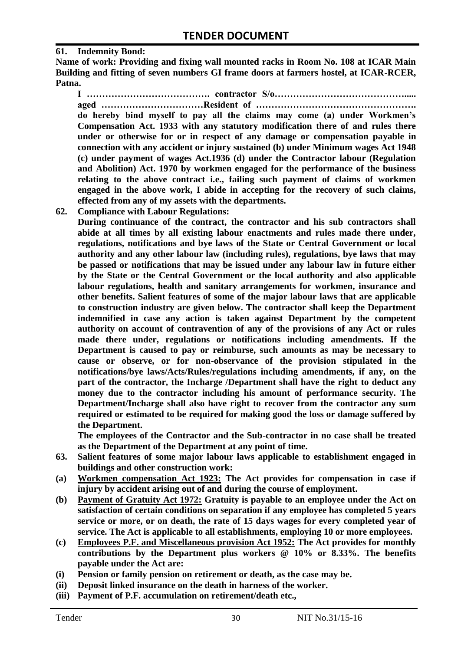#### **61. Indemnity Bond:**

**Name of work: Providing and fixing wall mounted racks in Room No. 108 at ICAR Main Building and fitting of seven numbers GI frame doors at farmers hostel, at ICAR-RCER, Patna.**

**I …………………………………. contractor S/o……………………………………..... aged ……………………………Resident of …………………………………………….** 

**do hereby bind myself to pay all the claims may come (a) under Workmen's Compensation Act. 1933 with any statutory modification there of and rules there under or otherwise for or in respect of any damage or compensation payable in connection with any accident or injury sustained (b) under Minimum wages Act 1948 (c) under payment of wages Act.1936 (d) under the Contractor labour (Regulation and Abolition) Act. 1970 by workmen engaged for the performance of the business relating to the above contract i.e., failing such payment of claims of workmen engaged in the above work, I abide in accepting for the recovery of such claims, effected from any of my assets with the departments.**

**62. Compliance with Labour Regulations:**

**During continuance of the contract, the contractor and his sub contractors shall abide at all times by all existing labour enactments and rules made there under, regulations, notifications and bye laws of the State or Central Government or local authority and any other labour law (including rules), regulations, bye laws that may be passed or notifications that may be issued under any labour law in future either by the State or the Central Government or the local authority and also applicable labour regulations, health and sanitary arrangements for workmen, insurance and other benefits. Salient features of some of the major labour laws that are applicable to construction industry are given below. The contractor shall keep the Department indemnified in case any action is taken against Department by the competent authority on account of contravention of any of the provisions of any Act or rules made there under, regulations or notifications including amendments. If the Department is caused to pay or reimburse, such amounts as may be necessary to cause or observe, or for non-observance of the provision stipulated in the notifications/bye laws/Acts/Rules/regulations including amendments, if any, on the part of the contractor, the Incharge /Department shall have the right to deduct any money due to the contractor including his amount of performance security. The Department/Incharge shall also have right to recover from the contractor any sum required or estimated to be required for making good the loss or damage suffered by the Department.**

**The employees of the Contractor and the Sub-contractor in no case shall be treated as the Department of the Department at any point of time.**

- **63. Salient features of some major labour laws applicable to establishment engaged in buildings and other construction work:**
- **(a) Workmen compensation Act 1923: The Act provides for compensation in case if injury by accident arising out of and during the course of employment.**
- **(b) Payment of Gratuity Act 1972: Gratuity is payable to an employee under the Act on satisfaction of certain conditions on separation if any employee has completed 5 years service or more, or on death, the rate of 15 days wages for every completed year of service. The Act is applicable to all establishments, employing 10 or more employees.**
- **(c) Employees P.F. and Miscellaneous provision Act 1952: The Act provides for monthly contributions by the Department plus workers @ 10% or 8.33%. The benefits payable under the Act are:**
- **(i) Pension or family pension on retirement or death, as the case may be.**
- **(ii) Deposit linked insurance on the death in harness of the worker.**
- **(iii) Payment of P.F. accumulation on retirement/death etc.,**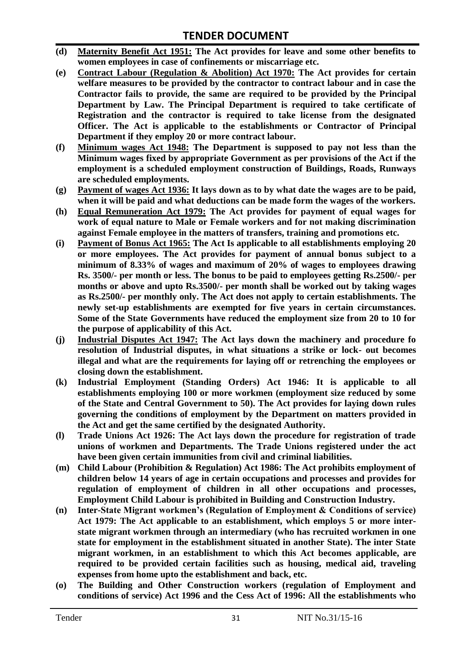- **(d) Maternity Benefit Act 1951: The Act provides for leave and some other benefits to women employees in case of confinements or miscarriage etc.**
- **(e) Contract Labour (Regulation & Abolition) Act 1970: The Act provides for certain welfare measures to be provided by the contractor to contract labour and in case the Contractor fails to provide, the same are required to be provided by the Principal Department by Law. The Principal Department is required to take certificate of Registration and the contractor is required to take license from the designated Officer. The Act is applicable to the establishments or Contractor of Principal Department if they employ 20 or more contract labour.**
- **(f) Minimum wages Act 1948: The Department is supposed to pay not less than the Minimum wages fixed by appropriate Government as per provisions of the Act if the employment is a scheduled employment construction of Buildings, Roads, Runways are scheduled employments.**
- **(g) Payment of wages Act 1936: It lays down as to by what date the wages are to be paid, when it will be paid and what deductions can be made form the wages of the workers.**
- **(h) Equal Remuneration Act 1979: The Act provides for payment of equal wages for work of equal nature to Male or Female workers and for not making discrimination against Female employee in the matters of transfers, training and promotions etc.**
- **(i) Payment of Bonus Act 1965: The Act Is applicable to all establishments employing 20 or more employees. The Act provides for payment of annual bonus subject to a minimum of 8.33% of wages and maximum of 20% of wages to employees drawing Rs. 3500/- per month or less. The bonus to be paid to employees getting Rs.2500/- per months or above and upto Rs.3500/- per month shall be worked out by taking wages as Rs.2500/- per monthly only. The Act does not apply to certain establishments. The newly set-up establishments are exempted for five years in certain circumstances. Some of the State Governments have reduced the employment size from 20 to 10 for the purpose of applicability of this Act.**
- **(j) Industrial Disputes Act 1947: The Act lays down the machinery and procedure fo resolution of Industrial disputes, in what situations a strike or lock- out becomes illegal and what are the requirements for laying off or retrenching the employees or closing down the establishment.**
- **(k) Industrial Employment (Standing Orders) Act 1946: It is applicable to all establishments employing 100 or more workmen (employment size reduced by some of the State and Central Government to 50). The Act provides for laying down rules governing the conditions of employment by the Department on matters provided in the Act and get the same certified by the designated Authority.**
- **(l) Trade Unions Act 1926: The Act lays down the procedure for registration of trade unions of workmen and Departments. The Trade Unions registered under the act have been given certain immunities from civil and criminal liabilities.**
- **(m) Child Labour (Prohibition & Regulation) Act 1986: The Act prohibits employment of children below 14 years of age in certain occupations and processes and provides for regulation of employment of children in all other occupations and processes, Employment Child Labour is prohibited in Building and Construction Industry.**
- **(n) Inter-State Migrant workmen's (Regulation of Employment & Conditions of service) Act 1979: The Act applicable to an establishment, which employs 5 or more interstate migrant workmen through an intermediary (who has recruited workmen in one state for employment in the establishment situated in another State). The inter State migrant workmen, in an establishment to which this Act becomes applicable, are required to be provided certain facilities such as housing, medical aid, traveling expenses from home upto the establishment and back, etc.**
- **(o) The Building and Other Construction workers (regulation of Employment and conditions of service) Act 1996 and the Cess Act of 1996: All the establishments who**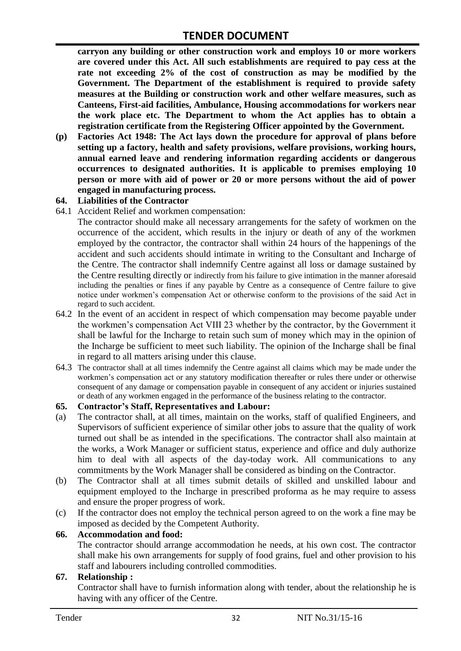**carryon any building or other construction work and employs 10 or more workers are covered under this Act. All such establishments are required to pay cess at the rate not exceeding 2% of the cost of construction as may be modified by the Government. The Department of the establishment is required to provide safety measures at the Building or construction work and other welfare measures, such as Canteens, First-aid facilities, Ambulance, Housing accommodations for workers near the work place etc. The Department to whom the Act applies has to obtain a registration certificate from the Registering Officer appointed by the Government.**

**(p) Factories Act 1948: The Act lays down the procedure for approval of plans before setting up a factory, health and safety provisions, welfare provisions, working hours, annual earned leave and rendering information regarding accidents or dangerous occurrences to designated authorities. It is applicable to premises employing 10 person or more with aid of power or 20 or more persons without the aid of power engaged in manufacturing process.**

#### **64. Liabilities of the Contractor**

64.1 Accident Relief and workmen compensation:

The contractor should make all necessary arrangements for the safety of workmen on the occurrence of the accident, which results in the injury or death of any of the workmen employed by the contractor, the contractor shall within 24 hours of the happenings of the accident and such accidents should intimate in writing to the Consultant and Incharge of the Centre. The contractor shall indemnify Centre against all loss or damage sustained by the Centre resulting directly or indirectly from his failure to give intimation in the manner aforesaid including the penalties or fines if any payable by Centre as a consequence of Centre failure to give notice under workmen"s compensation Act or otherwise conform to the provisions of the said Act in regard to such accident.

- 64.2 In the event of an accident in respect of which compensation may become payable under the workmen"s compensation Act VIII 23 whether by the contractor, by the Government it shall be lawful for the Incharge to retain such sum of money which may in the opinion of the Incharge be sufficient to meet such liability. The opinion of the Incharge shall be final in regard to all matters arising under this clause.
- 64.3 The contractor shall at all times indemnify the Centre against all claims which may be made under the workmen"s compensation act or any statutory modification thereafter or rules there under or otherwise consequent of any damage or compensation payable in consequent of any accident or injuries sustained or death of any workmen engaged in the performance of the business relating to the contractor.

#### **65. Contractor's Staff, Representatives and Labour:**

- (a) The contractor shall, at all times, maintain on the works, staff of qualified Engineers, and Supervisors of sufficient experience of similar other jobs to assure that the quality of work turned out shall be as intended in the specifications. The contractor shall also maintain at the works, a Work Manager or sufficient status, experience and office and duly authorize him to deal with all aspects of the day-today work. All communications to any commitments by the Work Manager shall be considered as binding on the Contractor.
- (b) The Contractor shall at all times submit details of skilled and unskilled labour and equipment employed to the Incharge in prescribed proforma as he may require to assess and ensure the proper progress of work.
- (c) If the contractor does not employ the technical person agreed to on the work a fine may be imposed as decided by the Competent Authority.

#### **66. Accommodation and food:**

The contractor should arrange accommodation he needs, at his own cost. The contractor shall make his own arrangements for supply of food grains, fuel and other provision to his staff and labourers including controlled commodities.

#### **67. Relationship :**

Contractor shall have to furnish information along with tender, about the relationship he is having with any officer of the Centre.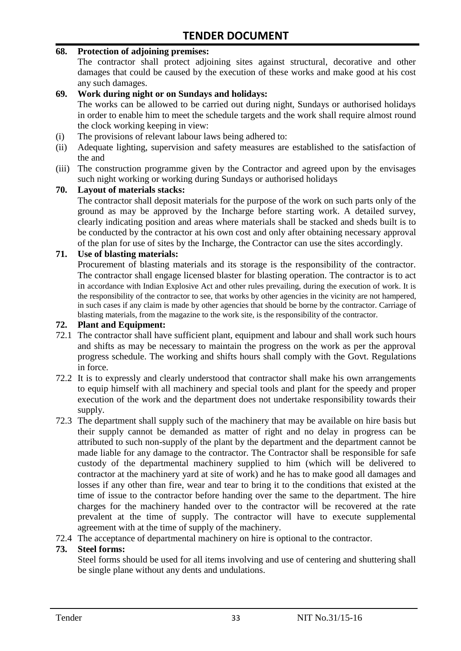#### **68. Protection of adjoining premises:**

The contractor shall protect adjoining sites against structural, decorative and other damages that could be caused by the execution of these works and make good at his cost any such damages.

#### **69. Work during night or on Sundays and holidays:**

The works can be allowed to be carried out during night, Sundays or authorised holidays in order to enable him to meet the schedule targets and the work shall require almost round the clock working keeping in view:

- (i) The provisions of relevant labour laws being adhered to:
- (ii) Adequate lighting, supervision and safety measures are established to the satisfaction of the and
- (iii) The construction programme given by the Contractor and agreed upon by the envisages such night working or working during Sundays or authorised holidays

#### **70. Layout of materials stacks:**

The contractor shall deposit materials for the purpose of the work on such parts only of the ground as may be approved by the Incharge before starting work. A detailed survey, clearly indicating position and areas where materials shall be stacked and sheds built is to be conducted by the contractor at his own cost and only after obtaining necessary approval of the plan for use of sites by the Incharge, the Contractor can use the sites accordingly.

#### **71. Use of blasting materials:**

Procurement of blasting materials and its storage is the responsibility of the contractor. The contractor shall engage licensed blaster for blasting operation. The contractor is to act in accordance with Indian Explosive Act and other rules prevailing, during the execution of work. It is the responsibility of the contractor to see, that works by other agencies in the vicinity are not hampered, in such cases if any claim is made by other agencies that should be borne by the contractor. Carriage of blasting materials, from the magazine to the work site, is the responsibility of the contractor.

#### **72. Plant and Equipment:**

- 72.1 The contractor shall have sufficient plant, equipment and labour and shall work such hours and shifts as may be necessary to maintain the progress on the work as per the approval progress schedule. The working and shifts hours shall comply with the Govt. Regulations in force.
- 72.2 It is to expressly and clearly understood that contractor shall make his own arrangements to equip himself with all machinery and special tools and plant for the speedy and proper execution of the work and the department does not undertake responsibility towards their supply.
- 72.3 The department shall supply such of the machinery that may be available on hire basis but their supply cannot be demanded as matter of right and no delay in progress can be attributed to such non-supply of the plant by the department and the department cannot be made liable for any damage to the contractor. The Contractor shall be responsible for safe custody of the departmental machinery supplied to him (which will be delivered to contractor at the machinery yard at site of work) and he has to make good all damages and losses if any other than fire, wear and tear to bring it to the conditions that existed at the time of issue to the contractor before handing over the same to the department. The hire charges for the machinery handed over to the contractor will be recovered at the rate prevalent at the time of supply. The contractor will have to execute supplemental agreement with at the time of supply of the machinery.
- 72.4 The acceptance of departmental machinery on hire is optional to the contractor.

#### **73. Steel forms:**

Steel forms should be used for all items involving and use of centering and shuttering shall be single plane without any dents and undulations.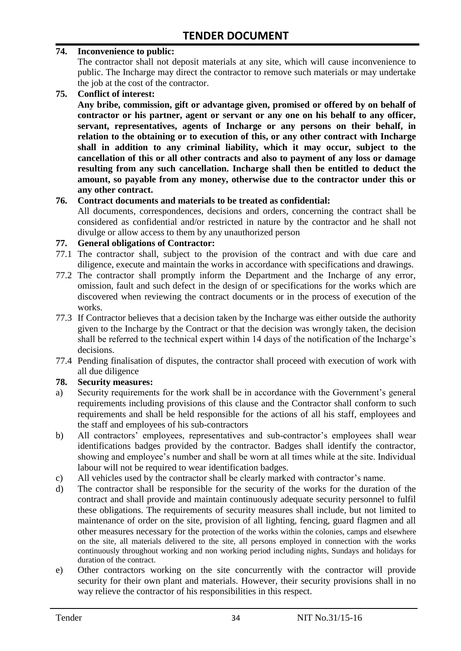#### **74. Inconvenience to public:**

The contractor shall not deposit materials at any site, which will cause inconvenience to public. The Incharge may direct the contractor to remove such materials or may undertake the job at the cost of the contractor.

**75. Conflict of interest:**

**Any bribe, commission, gift or advantage given, promised or offered by on behalf of contractor or his partner, agent or servant or any one on his behalf to any officer, servant, representatives, agents of Incharge or any persons on their behalf, in relation to the obtaining or to execution of this, or any other contract with Incharge shall in addition to any criminal liability, which it may occur, subject to the cancellation of this or all other contracts and also to payment of any loss or damage resulting from any such cancellation. Incharge shall then be entitled to deduct the amount, so payable from any money, otherwise due to the contractor under this or any other contract.**

#### **76. Contract documents and materials to be treated as confidential:**

All documents, correspondences, decisions and orders, concerning the contract shall be considered as confidential and/or restricted in nature by the contractor and he shall not divulge or allow access to them by any unauthorized person

#### **77. General obligations of Contractor:**

- 77.1 The contractor shall, subject to the provision of the contract and with due care and diligence, execute and maintain the works in accordance with specifications and drawings.
- 77.2 The contractor shall promptly inform the Department and the Incharge of any error, omission, fault and such defect in the design of or specifications for the works which are discovered when reviewing the contract documents or in the process of execution of the works.
- 77.3 If Contractor believes that a decision taken by the Incharge was either outside the authority given to the Incharge by the Contract or that the decision was wrongly taken, the decision shall be referred to the technical expert within 14 days of the notification of the Incharge's decisions.
- 77.4 Pending finalisation of disputes, the contractor shall proceed with execution of work with all due diligence

#### **78. Security measures:**

- a) Security requirements for the work shall be in accordance with the Government's general requirements including provisions of this clause and the Contractor shall conform to such requirements and shall be held responsible for the actions of all his staff, employees and the staff and employees of his sub-contractors
- b) All contractors' employees, representatives and sub-contractor's employees shall wear identifications badges provided by the contractor. Badges shall identify the contractor, showing and employee's number and shall be worn at all times while at the site. Individual labour will not be required to wear identification badges.
- c) All vehicles used by the contractor shall be clearly marked with contractor"s name.
- d) The contractor shall be responsible for the security of the works for the duration of the contract and shall provide and maintain continuously adequate security personnel to fulfil these obligations. The requirements of security measures shall include, but not limited to maintenance of order on the site, provision of all lighting, fencing, guard flagmen and all other measures necessary for the protection of the works within the colonies, camps and elsewhere on the site, all materials delivered to the site, all persons employed in connection with the works continuously throughout working and non working period including nights, Sundays and holidays for duration of the contract.
- e) Other contractors working on the site concurrently with the contractor will provide security for their own plant and materials. However, their security provisions shall in no way relieve the contractor of his responsibilities in this respect.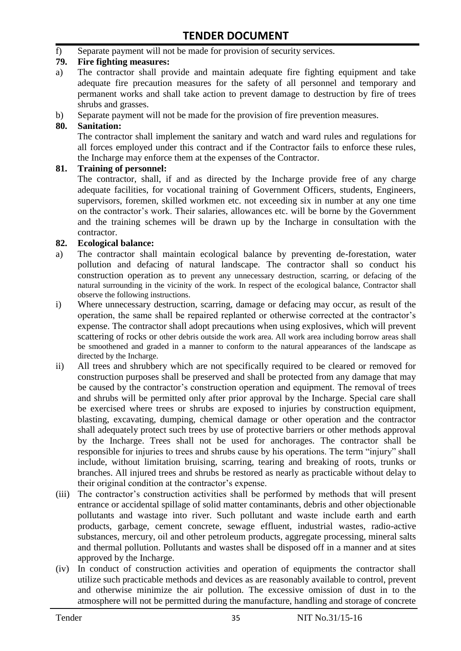f) Separate payment will not be made for provision of security services.

#### **79. Fire fighting measures:**

- a) The contractor shall provide and maintain adequate fire fighting equipment and take adequate fire precaution measures for the safety of all personnel and temporary and permanent works and shall take action to prevent damage to destruction by fire of trees shrubs and grasses.
- b) Separate payment will not be made for the provision of fire prevention measures.

#### **80. Sanitation:**

The contractor shall implement the sanitary and watch and ward rules and regulations for all forces employed under this contract and if the Contractor fails to enforce these rules, the Incharge may enforce them at the expenses of the Contractor.

#### **81. Training of personnel:**

The contractor, shall, if and as directed by the Incharge provide free of any charge adequate facilities, for vocational training of Government Officers, students, Engineers, supervisors, foremen, skilled workmen etc. not exceeding six in number at any one time on the contractor"s work. Their salaries, allowances etc. will be borne by the Government and the training schemes will be drawn up by the Incharge in consultation with the contractor.

#### **82. Ecological balance:**

- a) The contractor shall maintain ecological balance by preventing de-forestation, water pollution and defacing of natural landscape. The contractor shall so conduct his construction operation as to prevent any unnecessary destruction, scarring, or defacing of the natural surrounding in the vicinity of the work. In respect of the ecological balance, Contractor shall observe the following instructions.
- i) Where unnecessary destruction, scarring, damage or defacing may occur, as result of the operation, the same shall be repaired replanted or otherwise corrected at the contractor"s expense. The contractor shall adopt precautions when using explosives, which will prevent scattering of rocks or other debris outside the work area. All work area including borrow areas shall be smoothened and graded in a manner to conform to the natural appearances of the landscape as directed by the Incharge.
- ii) All trees and shrubbery which are not specifically required to be cleared or removed for construction purposes shall be preserved and shall be protected from any damage that may be caused by the contractor's construction operation and equipment. The removal of trees and shrubs will be permitted only after prior approval by the Incharge. Special care shall be exercised where trees or shrubs are exposed to injuries by construction equipment, blasting, excavating, dumping, chemical damage or other operation and the contractor shall adequately protect such trees by use of protective barriers or other methods approval by the Incharge. Trees shall not be used for anchorages. The contractor shall be responsible for injuries to trees and shrubs cause by his operations. The term "injury" shall include, without limitation bruising, scarring, tearing and breaking of roots, trunks or branches. All injured trees and shrubs be restored as nearly as practicable without delay to their original condition at the contractor"s expense.
- (iii) The contractor's construction activities shall be performed by methods that will present entrance or accidental spillage of solid matter contaminants, debris and other objectionable pollutants and wastage into river. Such pollutant and waste include earth and earth products, garbage, cement concrete, sewage effluent, industrial wastes, radio-active substances, mercury, oil and other petroleum products, aggregate processing, mineral salts and thermal pollution. Pollutants and wastes shall be disposed off in a manner and at sites approved by the Incharge.
- (iv) In conduct of construction activities and operation of equipments the contractor shall utilize such practicable methods and devices as are reasonably available to control, prevent and otherwise minimize the air pollution. The excessive omission of dust in to the atmosphere will not be permitted during the manufacture, handling and storage of concrete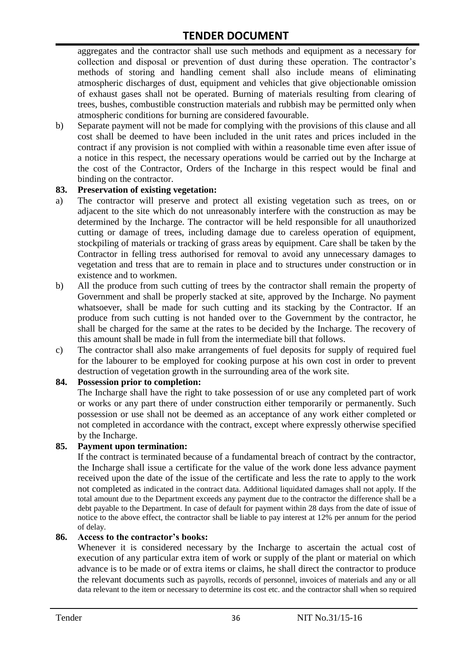aggregates and the contractor shall use such methods and equipment as a necessary for collection and disposal or prevention of dust during these operation. The contractor's methods of storing and handling cement shall also include means of eliminating atmospheric discharges of dust, equipment and vehicles that give objectionable omission of exhaust gases shall not be operated. Burning of materials resulting from clearing of trees, bushes, combustible construction materials and rubbish may be permitted only when atmospheric conditions for burning are considered favourable.

b) Separate payment will not be made for complying with the provisions of this clause and all cost shall be deemed to have been included in the unit rates and prices included in the contract if any provision is not complied with within a reasonable time even after issue of a notice in this respect, the necessary operations would be carried out by the Incharge at the cost of the Contractor, Orders of the Incharge in this respect would be final and binding on the contractor.

#### **83. Preservation of existing vegetation:**

- a) The contractor will preserve and protect all existing vegetation such as trees, on or adjacent to the site which do not unreasonably interfere with the construction as may be determined by the Incharge. The contractor will be held responsible for all unauthorized cutting or damage of trees, including damage due to careless operation of equipment, stockpiling of materials or tracking of grass areas by equipment. Care shall be taken by the Contractor in felling tress authorised for removal to avoid any unnecessary damages to vegetation and tress that are to remain in place and to structures under construction or in existence and to workmen.
- b) All the produce from such cutting of trees by the contractor shall remain the property of Government and shall be properly stacked at site, approved by the Incharge. No payment whatsoever, shall be made for such cutting and its stacking by the Contractor. If an produce from such cutting is not handed over to the Government by the contractor, he shall be charged for the same at the rates to be decided by the Incharge. The recovery of this amount shall be made in full from the intermediate bill that follows.
- c) The contractor shall also make arrangements of fuel deposits for supply of required fuel for the labourer to be employed for cooking purpose at his own cost in order to prevent destruction of vegetation growth in the surrounding area of the work site.

#### **84. Possession prior to completion:**

The Incharge shall have the right to take possession of or use any completed part of work or works or any part there of under construction either temporarily or permanently. Such possession or use shall not be deemed as an acceptance of any work either completed or not completed in accordance with the contract, except where expressly otherwise specified by the Incharge.

#### **85. Payment upon termination:**

If the contract is terminated because of a fundamental breach of contract by the contractor, the Incharge shall issue a certificate for the value of the work done less advance payment received upon the date of the issue of the certificate and less the rate to apply to the work not completed as indicated in the contract data. Additional liquidated damages shall not apply. If the total amount due to the Department exceeds any payment due to the contractor the difference shall be a debt payable to the Department. In case of default for payment within 28 days from the date of issue of notice to the above effect, the contractor shall be liable to pay interest at 12% per annum for the period of delay.

#### **86. Access to the contractor's books:**

Whenever it is considered necessary by the Incharge to ascertain the actual cost of execution of any particular extra item of work or supply of the plant or material on which advance is to be made or of extra items or claims, he shall direct the contractor to produce the relevant documents such as payrolls, records of personnel, invoices of materials and any or all data relevant to the item or necessary to determine its cost etc. and the contractor shall when so required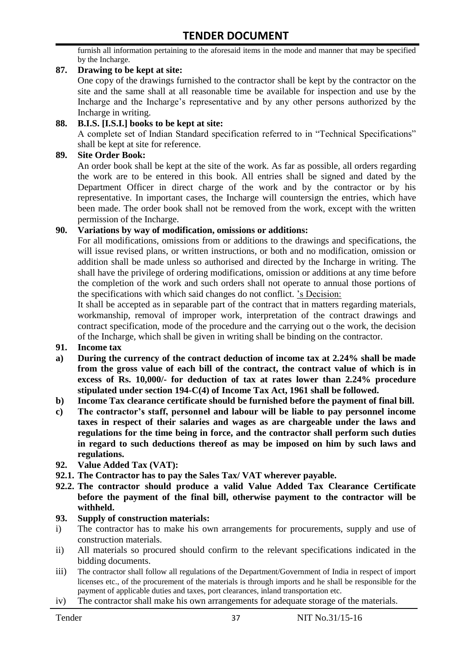furnish all information pertaining to the aforesaid items in the mode and manner that may be specified by the Incharge.

#### **87. Drawing to be kept at site:**

One copy of the drawings furnished to the contractor shall be kept by the contractor on the site and the same shall at all reasonable time be available for inspection and use by the Incharge and the Incharge"s representative and by any other persons authorized by the Incharge in writing.

#### **88. B.I.S. [I.S.I.] books to be kept at site:**

A complete set of Indian Standard specification referred to in "Technical Specifications" shall be kept at site for reference.

#### **89. Site Order Book:**

An order book shall be kept at the site of the work. As far as possible, all orders regarding the work are to be entered in this book. All entries shall be signed and dated by the Department Officer in direct charge of the work and by the contractor or by his representative. In important cases, the Incharge will countersign the entries, which have been made. The order book shall not be removed from the work, except with the written permission of the Incharge.

#### **90. Variations by way of modification, omissions or additions:**

For all modifications, omissions from or additions to the drawings and specifications, the will issue revised plans, or written instructions, or both and no modification, omission or addition shall be made unless so authorised and directed by the Incharge in writing. The shall have the privilege of ordering modifications, omission or additions at any time before the completion of the work and such orders shall not operate to annual those portions of the specifications with which said changes do not conflict. "s Decision:

It shall be accepted as in separable part of the contract that in matters regarding materials, workmanship, removal of improper work, interpretation of the contract drawings and contract specification, mode of the procedure and the carrying out o the work, the decision of the Incharge, which shall be given in writing shall be binding on the contractor.

- **91. Income tax**
- **a) During the currency of the contract deduction of income tax at 2.24% shall be made from the gross value of each bill of the contract, the contract value of which is in excess of Rs. 10,000/- for deduction of tax at rates lower than 2.24% procedure stipulated under section 194-C(4) of Income Tax Act, 1961 shall be followed.**
- **b) Income Tax clearance certificate should be furnished before the payment of final bill.**
- **c) The contractor's staff, personnel and labour will be liable to pay personnel income taxes in respect of their salaries and wages as are chargeable under the laws and regulations for the time being in force, and the contractor shall perform such duties in regard to such deductions thereof as may be imposed on him by such laws and regulations.**
- **92. Value Added Tax (VAT):**
- **92.1. The Contractor has to pay the Sales Tax/ VAT wherever payable.**
- **92.2. The contractor should produce a valid Value Added Tax Clearance Certificate before the payment of the final bill, otherwise payment to the contractor will be withheld.**

#### **93. Supply of construction materials:**

- i) The contractor has to make his own arrangements for procurements, supply and use of construction materials.
- ii) All materials so procured should confirm to the relevant specifications indicated in the bidding documents.
- iii) The contractor shall follow all regulations of the Department/Government of India in respect of import licenses etc., of the procurement of the materials is through imports and he shall be responsible for the payment of applicable duties and taxes, port clearances, inland transportation etc.
- iv) The contractor shall make his own arrangements for adequate storage of the materials.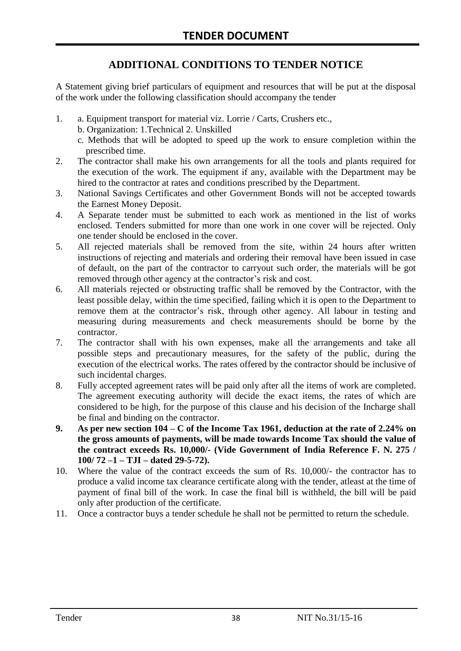# **ADDITIONAL CONDITIONS TO TENDER NOTICE**

A Statement giving brief particulars of equipment and resources that will be put at the disposal of the work under the following classification should accompany the tender

- 1. a. Equipment transport for material viz. Lorrie / Carts, Crushers etc.,
	- b. Organization: 1.Technical 2. Unskilled
	- c. Methods that will be adopted to speed up the work to ensure completion within the prescribed time.
- 2. The contractor shall make his own arrangements for all the tools and plants required for the execution of the work. The equipment if any, available with the Department may be hired to the contractor at rates and conditions prescribed by the Department.
- 3. National Savings Certificates and other Government Bonds will not be accepted towards the Earnest Money Deposit.
- 4. A Separate tender must be submitted to each work as mentioned in the list of works enclosed. Tenders submitted for more than one work in one cover will be rejected. Only one tender should be enclosed in the cover.
- 5. All rejected materials shall be removed from the site, within 24 hours after written instructions of rejecting and materials and ordering their removal have been issued in case of default, on the part of the contractor to carryout such order, the materials will be got removed through other agency at the contractor's risk and cost.
- 6. All materials rejected or obstructing traffic shall be removed by the Contractor, with the least possible delay, within the time specified, failing which it is open to the Department to remove them at the contractor's risk, through other agency. All labour in testing and measuring during measurements and check measurements should be borne by the contractor.
- 7. The contractor shall with his own expenses, make all the arrangements and take all possible steps and precautionary measures, for the safety of the public, during the execution of the electrical works. The rates offered by the contractor should be inclusive of such incidental charges.
- 8. Fully accepted agreement rates will be paid only after all the items of work are completed. The agreement executing authority will decide the exact items, the rates of which are considered to be high, for the purpose of this clause and his decision of the Incharge shall be final and binding on the contractor.
- **9. As per new section 104 – C of the Income Tax 1961, deduction at the rate of 2.24% on the gross amounts of payments, will be made towards Income Tax should the value of the contract exceeds Rs. 10,000/- (Vide Government of India Reference F. N. 275 / 100/ 72 –1 – TJI – dated 29-5-72).**
- 10. Where the value of the contract exceeds the sum of Rs. 10,000/- the contractor has to produce a valid income tax clearance certificate along with the tender, atleast at the time of payment of final bill of the work. In case the final bill is withheld, the bill will be paid only after production of the certificate.
- 11. Once a contractor buys a tender schedule he shall not be permitted to return the schedule.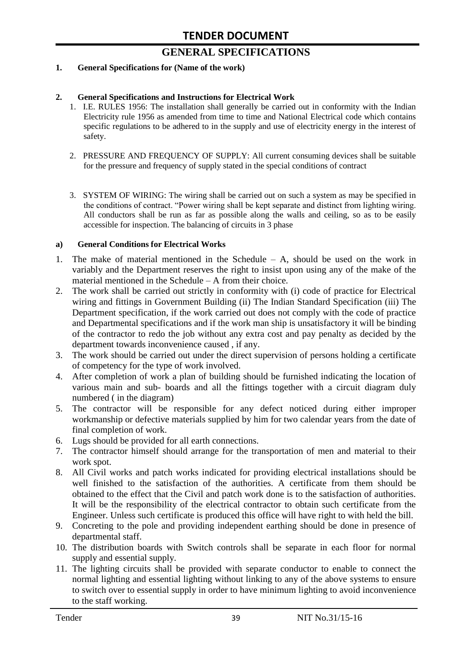# **GENERAL SPECIFICATIONS**

#### **1. General Specifications for (Name of the work)**

#### **2. General Specifications and Instructions for Electrical Work**

- 1. I.E. RULES 1956: The installation shall generally be carried out in conformity with the Indian Electricity rule 1956 as amended from time to time and National Electrical code which contains specific regulations to be adhered to in the supply and use of electricity energy in the interest of safety.
- 2. PRESSURE AND FREQUENCY OF SUPPLY: All current consuming devices shall be suitable for the pressure and frequency of supply stated in the special conditions of contract
- 3. SYSTEM OF WIRING: The wiring shall be carried out on such a system as may be specified in the conditions of contract. "Power wiring shall be kept separate and distinct from lighting wiring. All conductors shall be run as far as possible along the walls and ceiling, so as to be easily accessible for inspection. The balancing of circuits in 3 phase

#### **a) General Conditions for Electrical Works**

- 1. The make of material mentioned in the Schedule A, should be used on the work in variably and the Department reserves the right to insist upon using any of the make of the material mentioned in the Schedule – A from their choice.
- 2. The work shall be carried out strictly in conformity with (i) code of practice for Electrical wiring and fittings in Government Building (ii) The Indian Standard Specification (iii) The Department specification, if the work carried out does not comply with the code of practice and Departmental specifications and if the work man ship is unsatisfactory it will be binding of the contractor to redo the job without any extra cost and pay penalty as decided by the department towards inconvenience caused , if any.
- 3. The work should be carried out under the direct supervision of persons holding a certificate of competency for the type of work involved.
- 4. After completion of work a plan of building should be furnished indicating the location of various main and sub- boards and all the fittings together with a circuit diagram duly numbered ( in the diagram)
- 5. The contractor will be responsible for any defect noticed during either improper workmanship or defective materials supplied by him for two calendar years from the date of final completion of work.
- 6. Lugs should be provided for all earth connections.
- 7. The contractor himself should arrange for the transportation of men and material to their work spot.
- 8. All Civil works and patch works indicated for providing electrical installations should be well finished to the satisfaction of the authorities. A certificate from them should be obtained to the effect that the Civil and patch work done is to the satisfaction of authorities. It will be the responsibility of the electrical contractor to obtain such certificate from the Engineer. Unless such certificate is produced this office will have right to with held the bill.
- 9. Concreting to the pole and providing independent earthing should be done in presence of departmental staff.
- 10. The distribution boards with Switch controls shall be separate in each floor for normal supply and essential supply.
- 11. The lighting circuits shall be provided with separate conductor to enable to connect the normal lighting and essential lighting without linking to any of the above systems to ensure to switch over to essential supply in order to have minimum lighting to avoid inconvenience to the staff working.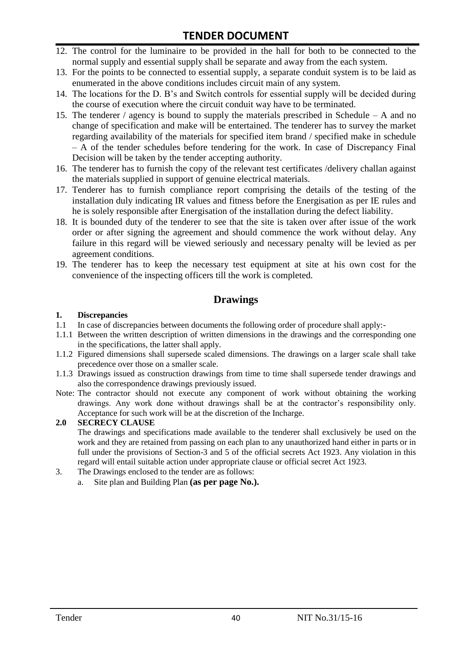- 12. The control for the luminaire to be provided in the hall for both to be connected to the normal supply and essential supply shall be separate and away from the each system.
- 13. For the points to be connected to essential supply, a separate conduit system is to be laid as enumerated in the above conditions includes circuit main of any system.
- 14. The locations for the D. B"s and Switch controls for essential supply will be decided during the course of execution where the circuit conduit way have to be terminated.
- 15. The tenderer / agency is bound to supply the materials prescribed in Schedule A and no change of specification and make will be entertained. The tenderer has to survey the market regarding availability of the materials for specified item brand / specified make in schedule – A of the tender schedules before tendering for the work. In case of Discrepancy Final Decision will be taken by the tender accepting authority.
- 16. The tenderer has to furnish the copy of the relevant test certificates /delivery challan against the materials supplied in support of genuine electrical materials.
- 17. Tenderer has to furnish compliance report comprising the details of the testing of the installation duly indicating IR values and fitness before the Energisation as per IE rules and he is solely responsible after Energisation of the installation during the defect liability.
- 18. It is bounded duty of the tenderer to see that the site is taken over after issue of the work order or after signing the agreement and should commence the work without delay. Any failure in this regard will be viewed seriously and necessary penalty will be levied as per agreement conditions.
- 19. The tenderer has to keep the necessary test equipment at site at his own cost for the convenience of the inspecting officers till the work is completed.

#### **Drawings**

#### **1. Discrepancies**

- 1.1 In case of discrepancies between documents the following order of procedure shall apply:-
- 1.1.1 Between the written description of written dimensions in the drawings and the corresponding one in the specifications, the latter shall apply.
- 1.1.2 Figured dimensions shall supersede scaled dimensions. The drawings on a larger scale shall take precedence over those on a smaller scale.
- 1.1.3 Drawings issued as construction drawings from time to time shall supersede tender drawings and also the correspondence drawings previously issued.
- Note: The contractor should not execute any component of work without obtaining the working drawings. Any work done without drawings shall be at the contractor"s responsibility only. Acceptance for such work will be at the discretion of the Incharge.

#### **2.0 SECRECY CLAUSE**

The drawings and specifications made available to the tenderer shall exclusively be used on the work and they are retained from passing on each plan to any unauthorized hand either in parts or in full under the provisions of Section-3 and 5 of the official secrets Act 1923. Any violation in this regard will entail suitable action under appropriate clause or official secret Act 1923.

- 3. The Drawings enclosed to the tender are as follows:
	- a. Site plan and Building Plan **(as per page No.).**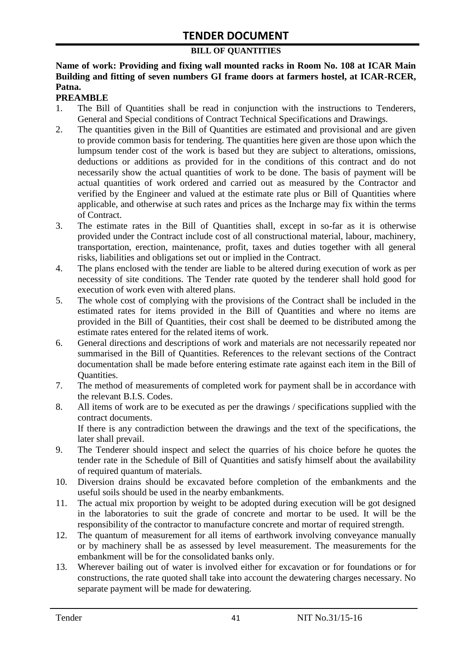#### **BILL OF QUANTITIES**

#### **Name of work: Providing and fixing wall mounted racks in Room No. 108 at ICAR Main Building and fitting of seven numbers GI frame doors at farmers hostel, at ICAR-RCER, Patna.**

#### **PREAMBLE**

- 1. The Bill of Quantities shall be read in conjunction with the instructions to Tenderers, General and Special conditions of Contract Technical Specifications and Drawings.
- 2. The quantities given in the Bill of Quantities are estimated and provisional and are given to provide common basis for tendering. The quantities here given are those upon which the lumpsum tender cost of the work is based but they are subject to alterations, omissions, deductions or additions as provided for in the conditions of this contract and do not necessarily show the actual quantities of work to be done. The basis of payment will be actual quantities of work ordered and carried out as measured by the Contractor and verified by the Engineer and valued at the estimate rate plus or Bill of Quantities where applicable, and otherwise at such rates and prices as the Incharge may fix within the terms of Contract.
- 3. The estimate rates in the Bill of Quantities shall, except in so-far as it is otherwise provided under the Contract include cost of all constructional material, labour, machinery, transportation, erection, maintenance, profit, taxes and duties together with all general risks, liabilities and obligations set out or implied in the Contract.
- 4. The plans enclosed with the tender are liable to be altered during execution of work as per necessity of site conditions. The Tender rate quoted by the tenderer shall hold good for execution of work even with altered plans.
- 5. The whole cost of complying with the provisions of the Contract shall be included in the estimated rates for items provided in the Bill of Quantities and where no items are provided in the Bill of Quantities, their cost shall be deemed to be distributed among the estimate rates entered for the related items of work.
- 6. General directions and descriptions of work and materials are not necessarily repeated nor summarised in the Bill of Quantities. References to the relevant sections of the Contract documentation shall be made before entering estimate rate against each item in the Bill of Quantities.
- 7. The method of measurements of completed work for payment shall be in accordance with the relevant B.I.S. Codes.
- 8. All items of work are to be executed as per the drawings / specifications supplied with the contract documents. If there is any contradiction between the drawings and the text of the specifications, the later shall prevail.
- 9. The Tenderer should inspect and select the quarries of his choice before he quotes the tender rate in the Schedule of Bill of Quantities and satisfy himself about the availability of required quantum of materials.
- 10. Diversion drains should be excavated before completion of the embankments and the useful soils should be used in the nearby embankments.
- 11. The actual mix proportion by weight to be adopted during execution will be got designed in the laboratories to suit the grade of concrete and mortar to be used. It will be the responsibility of the contractor to manufacture concrete and mortar of required strength.
- 12. The quantum of measurement for all items of earthwork involving conveyance manually or by machinery shall be as assessed by level measurement. The measurements for the embankment will be for the consolidated banks only.
- 13. Wherever bailing out of water is involved either for excavation or for foundations or for constructions, the rate quoted shall take into account the dewatering charges necessary. No separate payment will be made for dewatering.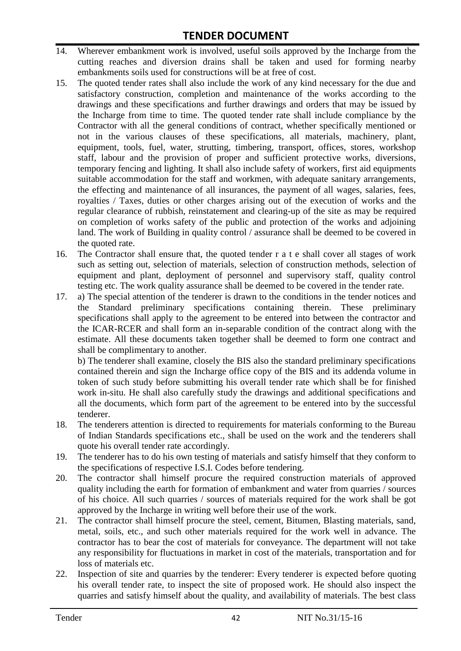- 14. Wherever embankment work is involved, useful soils approved by the Incharge from the cutting reaches and diversion drains shall be taken and used for forming nearby embankments soils used for constructions will be at free of cost.
- 15. The quoted tender rates shall also include the work of any kind necessary for the due and satisfactory construction, completion and maintenance of the works according to the drawings and these specifications and further drawings and orders that may be issued by the Incharge from time to time. The quoted tender rate shall include compliance by the Contractor with all the general conditions of contract, whether specifically mentioned or not in the various clauses of these specifications, all materials, machinery, plant, equipment, tools, fuel, water, strutting, timbering, transport, offices, stores, workshop staff, labour and the provision of proper and sufficient protective works, diversions, temporary fencing and lighting. It shall also include safety of workers, first aid equipments suitable accommodation for the staff and workmen, with adequate sanitary arrangements, the effecting and maintenance of all insurances, the payment of all wages, salaries, fees, royalties / Taxes, duties or other charges arising out of the execution of works and the regular clearance of rubbish, reinstatement and clearing-up of the site as may be required on completion of works safety of the public and protection of the works and adjoining land. The work of Building in quality control / assurance shall be deemed to be covered in the quoted rate.
- 16. The Contractor shall ensure that, the quoted tender r a t e shall cover all stages of work such as setting out, selection of materials, selection of construction methods, selection of equipment and plant, deployment of personnel and supervisory staff, quality control testing etc. The work quality assurance shall be deemed to be covered in the tender rate.
- 17. a) The special attention of the tenderer is drawn to the conditions in the tender notices and the Standard preliminary specifications containing therein. These preliminary specifications shall apply to the agreement to be entered into between the contractor and the ICAR-RCER and shall form an in-separable condition of the contract along with the estimate. All these documents taken together shall be deemed to form one contract and shall be complimentary to another.

b) The tenderer shall examine, closely the BIS also the standard preliminary specifications contained therein and sign the Incharge office copy of the BIS and its addenda volume in token of such study before submitting his overall tender rate which shall be for finished work in-situ. He shall also carefully study the drawings and additional specifications and all the documents, which form part of the agreement to be entered into by the successful tenderer.

- 18. The tenderers attention is directed to requirements for materials conforming to the Bureau of Indian Standards specifications etc., shall be used on the work and the tenderers shall quote his overall tender rate accordingly.
- 19. The tenderer has to do his own testing of materials and satisfy himself that they conform to the specifications of respective I.S.I. Codes before tendering.
- 20. The contractor shall himself procure the required construction materials of approved quality including the earth for formation of embankment and water from quarries / sources of his choice. All such quarries / sources of materials required for the work shall be got approved by the Incharge in writing well before their use of the work.
- 21. The contractor shall himself procure the steel, cement, Bitumen, Blasting materials, sand, metal, soils, etc., and such other materials required for the work well in advance. The contractor has to bear the cost of materials for conveyance. The department will not take any responsibility for fluctuations in market in cost of the materials, transportation and for loss of materials etc.
- 22. Inspection of site and quarries by the tenderer: Every tenderer is expected before quoting his overall tender rate, to inspect the site of proposed work. He should also inspect the quarries and satisfy himself about the quality, and availability of materials. The best class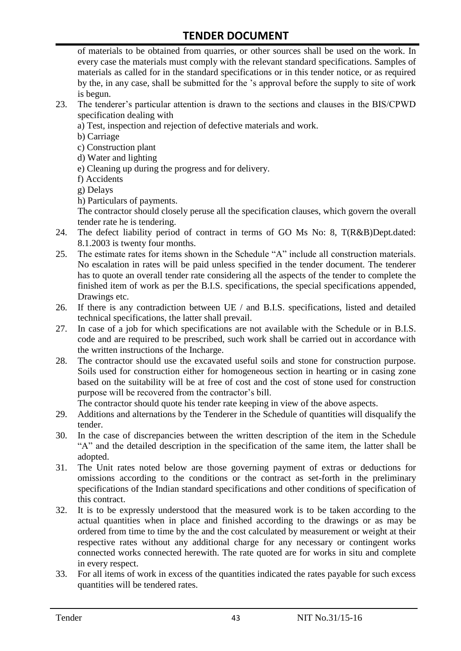of materials to be obtained from quarries, or other sources shall be used on the work. In every case the materials must comply with the relevant standard specifications. Samples of materials as called for in the standard specifications or in this tender notice, or as required by the, in any case, shall be submitted for the "s approval before the supply to site of work is begun.

- 23. The tenderer"s particular attention is drawn to the sections and clauses in the BIS/CPWD specification dealing with
	- a) Test, inspection and rejection of defective materials and work.
	- b) Carriage
	- c) Construction plant
	- d) Water and lighting
	- e) Cleaning up during the progress and for delivery.
	- f) Accidents
	- g) Delays
	- h) Particulars of payments.

The contractor should closely peruse all the specification clauses, which govern the overall tender rate he is tendering.

- 24. The defect liability period of contract in terms of GO Ms No: 8, T(R&B)Dept.dated: 8.1.2003 is twenty four months.
- 25. The estimate rates for items shown in the Schedule "A" include all construction materials. No escalation in rates will be paid unless specified in the tender document. The tenderer has to quote an overall tender rate considering all the aspects of the tender to complete the finished item of work as per the B.I.S. specifications, the special specifications appended, Drawings etc.
- 26. If there is any contradiction between UE / and B.I.S. specifications, listed and detailed technical specifications, the latter shall prevail.
- 27. In case of a job for which specifications are not available with the Schedule or in B.I.S. code and are required to be prescribed, such work shall be carried out in accordance with the written instructions of the Incharge.
- 28. The contractor should use the excavated useful soils and stone for construction purpose. Soils used for construction either for homogeneous section in hearting or in casing zone based on the suitability will be at free of cost and the cost of stone used for construction purpose will be recovered from the contractor's bill.

The contractor should quote his tender rate keeping in view of the above aspects.

- 29. Additions and alternations by the Tenderer in the Schedule of quantities will disqualify the tender.
- 30. In the case of discrepancies between the written description of the item in the Schedule "A" and the detailed description in the specification of the same item, the latter shall be adopted.
- 31. The Unit rates noted below are those governing payment of extras or deductions for omissions according to the conditions or the contract as set-forth in the preliminary specifications of the Indian standard specifications and other conditions of specification of this contract.
- 32. It is to be expressly understood that the measured work is to be taken according to the actual quantities when in place and finished according to the drawings or as may be ordered from time to time by the and the cost calculated by measurement or weight at their respective rates without any additional charge for any necessary or contingent works connected works connected herewith. The rate quoted are for works in situ and complete in every respect.
- 33. For all items of work in excess of the quantities indicated the rates payable for such excess quantities will be tendered rates.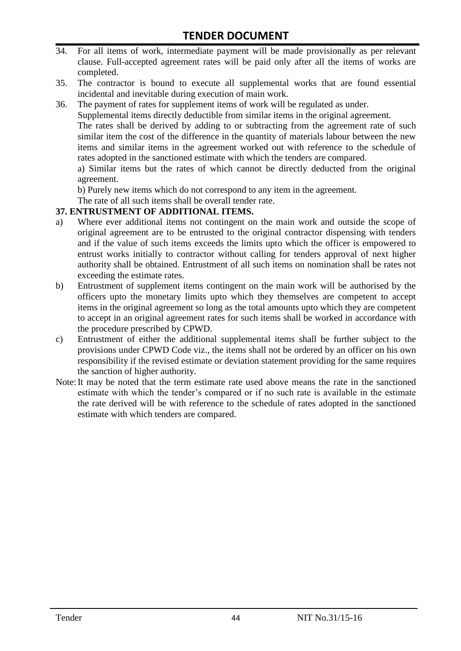- 34. For all items of work, intermediate payment will be made provisionally as per relevant clause. Full-accepted agreement rates will be paid only after all the items of works are completed.
- 35. The contractor is bound to execute all supplemental works that are found essential incidental and inevitable during execution of main work.
- 36. The payment of rates for supplement items of work will be regulated as under.

Supplemental items directly deductible from similar items in the original agreement.

The rates shall be derived by adding to or subtracting from the agreement rate of such similar item the cost of the difference in the quantity of materials labour between the new items and similar items in the agreement worked out with reference to the schedule of rates adopted in the sanctioned estimate with which the tenders are compared.

a) Similar items but the rates of which cannot be directly deducted from the original agreement.

b) Purely new items which do not correspond to any item in the agreement.

The rate of all such items shall be overall tender rate.

#### **37. ENTRUSTMENT OF ADDITIONAL ITEMS.**

- a) Where ever additional items not contingent on the main work and outside the scope of original agreement are to be entrusted to the original contractor dispensing with tenders and if the value of such items exceeds the limits upto which the officer is empowered to entrust works initially to contractor without calling for tenders approval of next higher authority shall be obtained. Entrustment of all such items on nomination shall be rates not exceeding the estimate rates.
- b) Entrustment of supplement items contingent on the main work will be authorised by the officers upto the monetary limits upto which they themselves are competent to accept items in the original agreement so long as the total amounts upto which they are competent to accept in an original agreement rates for such items shall be worked in accordance with the procedure prescribed by CPWD.
- c) Entrustment of either the additional supplemental items shall be further subject to the provisions under CPWD Code viz., the items shall not be ordered by an officer on his own responsibility if the revised estimate or deviation statement providing for the same requires the sanction of higher authority.
- Note:It may be noted that the term estimate rate used above means the rate in the sanctioned estimate with which the tender"s compared or if no such rate is available in the estimate the rate derived will be with reference to the schedule of rates adopted in the sanctioned estimate with which tenders are compared.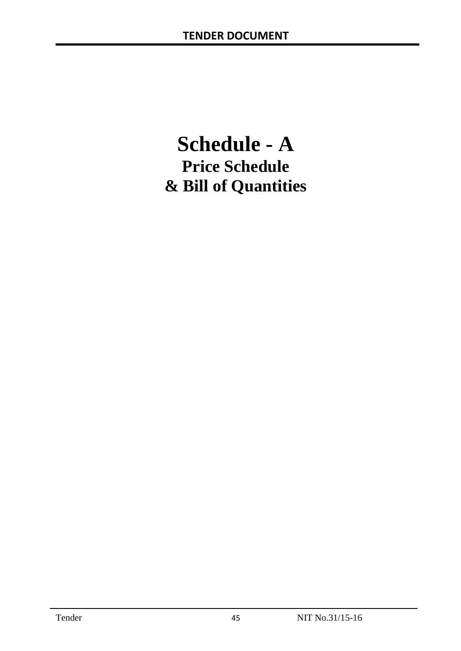# **Schedule - A Price Schedule & Bill of Quantities**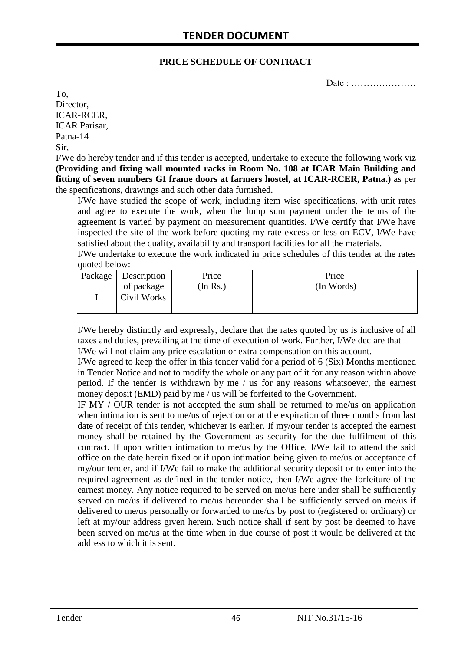#### **PRICE SCHEDULE OF CONTRACT**

Date : …………………

To, Director, ICAR-RCER, ICAR Parisar, Patna-14 Sir,

I/We do hereby tender and if this tender is accepted, undertake to execute the following work viz **(Providing and fixing wall mounted racks in Room No. 108 at ICAR Main Building and fitting of seven numbers GI frame doors at farmers hostel, at ICAR-RCER, Patna.)** as per the specifications, drawings and such other data furnished.

I/We have studied the scope of work, including item wise specifications, with unit rates and agree to execute the work, when the lump sum payment under the terms of the agreement is varied by payment on measurement quantities. I/We certify that I/We have inspected the site of the work before quoting my rate excess or less on ECV, I/We have satisfied about the quality, availability and transport facilities for all the materials.

I/We undertake to execute the work indicated in price schedules of this tender at the rates quoted below:

| Package   Description | Price   | Price      |
|-----------------------|---------|------------|
| of package            | In Rs.) | (In Words) |
| Civil Works           |         |            |

I/We hereby distinctly and expressly, declare that the rates quoted by us is inclusive of all taxes and duties, prevailing at the time of execution of work. Further, I/We declare that I/We will not claim any price escalation or extra compensation on this account.

I/We agreed to keep the offer in this tender valid for a period of 6 (Six) Months mentioned in Tender Notice and not to modify the whole or any part of it for any reason within above period. If the tender is withdrawn by me / us for any reasons whatsoever, the earnest money deposit (EMD) paid by me / us will be forfeited to the Government.

IF MY / OUR tender is not accepted the sum shall be returned to me/us on application when intimation is sent to me/us of rejection or at the expiration of three months from last date of receipt of this tender, whichever is earlier. If my/our tender is accepted the earnest money shall be retained by the Government as security for the due fulfilment of this contract. If upon written intimation to me/us by the Office, I/We fail to attend the said office on the date herein fixed or if upon intimation being given to me/us or acceptance of my/our tender, and if I/We fail to make the additional security deposit or to enter into the required agreement as defined in the tender notice, then I/We agree the forfeiture of the earnest money. Any notice required to be served on me/us here under shall be sufficiently served on me/us if delivered to me/us hereunder shall be sufficiently served on me/us if delivered to me/us personally or forwarded to me/us by post to (registered or ordinary) or left at my/our address given herein. Such notice shall if sent by post be deemed to have been served on me/us at the time when in due course of post it would be delivered at the address to which it is sent.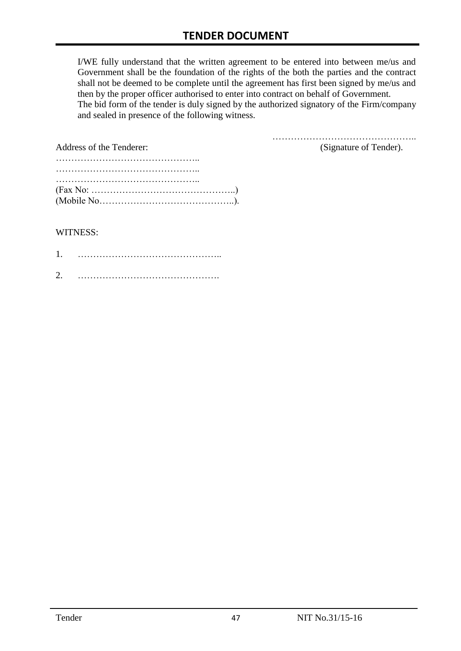I/WE fully understand that the written agreement to be entered into between me/us and Government shall be the foundation of the rights of the both the parties and the contract shall not be deemed to be complete until the agreement has first been signed by me/us and then by the proper officer authorised to enter into contract on behalf of Government. The bid form of the tender is duly signed by the authorized signatory of the Firm/company and sealed in presence of the following witness.

| Address of the Tenderer:                                                                  | (Signature of Tender). |
|-------------------------------------------------------------------------------------------|------------------------|
|                                                                                           |                        |
|                                                                                           |                        |
|                                                                                           |                        |
| $(Fax No: \dots \dots \dots \dots \dots \dots \dots \dots \dots \dots \dots \dots \dots)$ |                        |
|                                                                                           |                        |

#### WITNESS:

| ⌒ |  |
|---|--|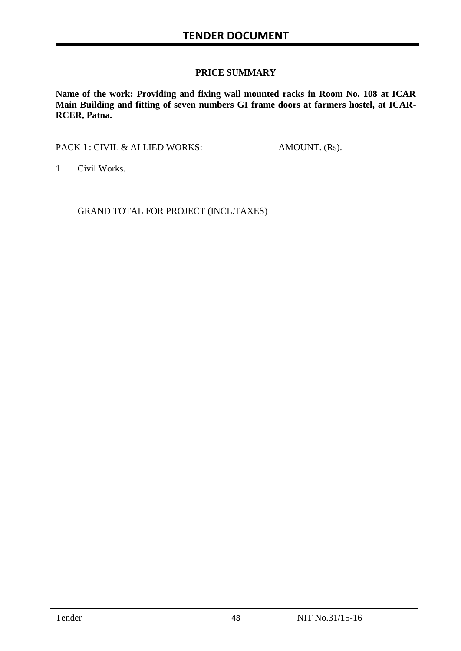#### **PRICE SUMMARY**

**Name of the work: Providing and fixing wall mounted racks in Room No. 108 at ICAR Main Building and fitting of seven numbers GI frame doors at farmers hostel, at ICAR-RCER, Patna.**

PACK-I : CIVIL & ALLIED WORKS: AMOUNT. (Rs).

1 Civil Works.

GRAND TOTAL FOR PROJECT (INCL.TAXES)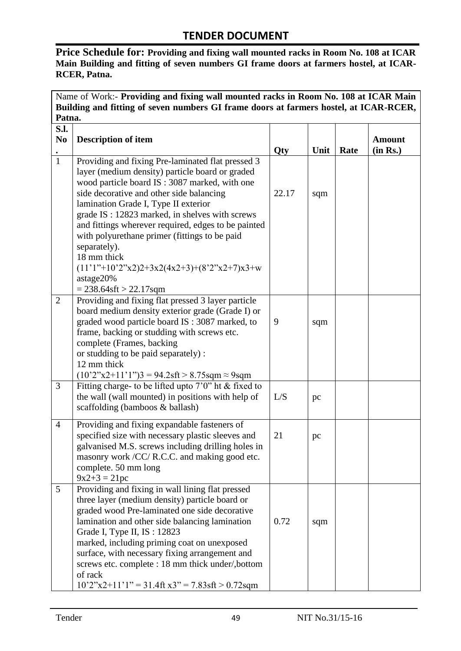**Price Schedule for: Providing and fixing wall mounted racks in Room No. 108 at ICAR Main Building and fitting of seven numbers GI frame doors at farmers hostel, at ICAR-RCER, Patna.**

| Name of Work:- Providing and fixing wall mounted racks in Room No. 108 at ICAR Main             |                                                                                                                                                                                                                                                                                                                                                                                                                                                                                                                                 |       |      |      |                           |  |  |
|-------------------------------------------------------------------------------------------------|---------------------------------------------------------------------------------------------------------------------------------------------------------------------------------------------------------------------------------------------------------------------------------------------------------------------------------------------------------------------------------------------------------------------------------------------------------------------------------------------------------------------------------|-------|------|------|---------------------------|--|--|
| Building and fitting of seven numbers GI frame doors at farmers hostel, at ICAR-RCER,<br>Patna. |                                                                                                                                                                                                                                                                                                                                                                                                                                                                                                                                 |       |      |      |                           |  |  |
| <b>S.I.</b><br>N <sub>0</sub>                                                                   | <b>Description of item</b>                                                                                                                                                                                                                                                                                                                                                                                                                                                                                                      | Qty   | Unit | Rate | <b>Amount</b><br>(in Rs.) |  |  |
| $\overline{1}$                                                                                  | Providing and fixing Pre-laminated flat pressed 3<br>layer (medium density) particle board or graded<br>wood particle board IS: 3087 marked, with one<br>side decorative and other side balancing<br>lamination Grade I, Type II exterior<br>grade IS: 12823 marked, in shelves with screws<br>and fittings wherever required, edges to be painted<br>with polyurethane primer (fittings to be paid<br>separately).<br>18 mm thick<br>$(11'1''+10'2''x2)2+3x2(4x2+3)+(8'2''x2+7)x3+w$<br>astage20%<br>$= 238.64$ sft > 22.17sqm | 22.17 | sqm  |      |                           |  |  |
| $\overline{2}$                                                                                  | Providing and fixing flat pressed 3 layer particle<br>board medium density exterior grade (Grade I) or<br>graded wood particle board IS: 3087 marked, to<br>frame, backing or studding with screws etc.<br>complete (Frames, backing<br>or studding to be paid separately) :<br>12 mm thick<br>$(10'2"x2+11"y3 = 94.2sft > 8.75sqm \approx 9sqm$                                                                                                                                                                                | 9     | sqm  |      |                           |  |  |
| 3                                                                                               | Fitting charge- to be lifted up to $7'0''$ ht & fixed to<br>the wall (wall mounted) in positions with help of<br>scaffolding (bamboos & ballash)                                                                                                                                                                                                                                                                                                                                                                                | L/S   | pc   |      |                           |  |  |
| 4                                                                                               | Providing and fixing expandable fasteners of<br>specified size with necessary plastic sleeves and<br>galvanised M.S. screws including drilling holes in<br>masonry work /CC/ R.C.C. and making good etc.<br>complete. 50 mm long<br>$9x2+3 = 21pc$                                                                                                                                                                                                                                                                              | 21    | pc   |      |                           |  |  |
| 5                                                                                               | Providing and fixing in wall lining flat pressed<br>three layer (medium density) particle board or<br>graded wood Pre-laminated one side decorative<br>lamination and other side balancing lamination<br>Grade I, Type II, IS: 12823<br>marked, including priming coat on unexposed<br>surface, with necessary fixing arrangement and<br>screws etc. complete : 18 mm thick under/, bottom<br>of rack<br>$10'2''x2+11'1'' = 31.4$ ft x3" = 7.83sft > 0.72sqm                                                                    | 0.72  | sqm  |      |                           |  |  |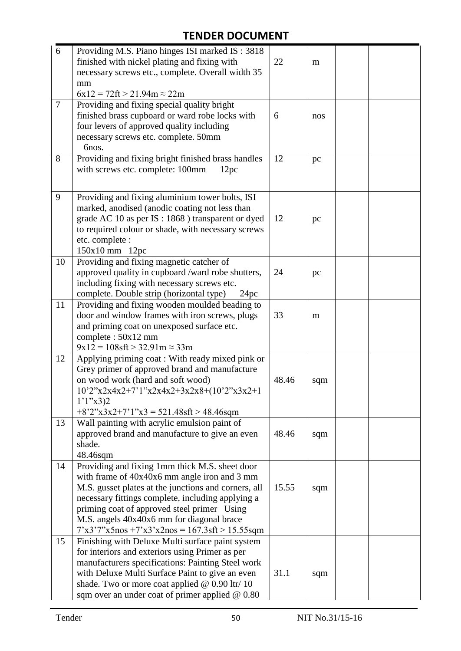| 6              | Providing M.S. Piano hinges ISI marked IS: 3818<br>finished with nickel plating and fixing with<br>necessary screws etc., complete. Overall width 35<br>mm<br>$6x12 = 72$ ft > 21.94m $\approx$ 22m                                                                                                                                                                | 22    | m   |  |
|----------------|--------------------------------------------------------------------------------------------------------------------------------------------------------------------------------------------------------------------------------------------------------------------------------------------------------------------------------------------------------------------|-------|-----|--|
| $\overline{7}$ | Providing and fixing special quality bright<br>finished brass cupboard or ward robe locks with<br>four levers of approved quality including<br>necessary screws etc. complete. 50mm<br>6nos.                                                                                                                                                                       | 6     | nos |  |
| 8              | Providing and fixing bright finished brass handles<br>with screws etc. complete: 100mm<br>12pc                                                                                                                                                                                                                                                                     | 12    | pc  |  |
| 9              | Providing and fixing aluminium tower bolts, ISI<br>marked, anodised (anodic coating not less than<br>grade AC 10 as per IS : 1868 ) transparent or dyed<br>to required colour or shade, with necessary screws<br>etc. complete :<br>150x10 mm 12pc                                                                                                                 | 12    | pc  |  |
| 10             | Providing and fixing magnetic catcher of<br>approved quality in cupboard /ward robe shutters,<br>including fixing with necessary screws etc.<br>complete. Double strip (horizontal type)<br>24pc                                                                                                                                                                   | 24    | pc  |  |
| 11             | Providing and fixing wooden moulded beading to<br>door and window frames with iron screws, plugs<br>and priming coat on unexposed surface etc.<br>complete: 50x12 mm<br>$9x12 = 108sft > 32.91m \approx 33m$                                                                                                                                                       | 33    | m   |  |
| 12             | Applying priming coat: With ready mixed pink or<br>Grey primer of approved brand and manufacture<br>on wood work (hard and soft wood)<br>10'2"x2x4x2+7'1"x2x4x2+3x2x8+(10'2"x3x2+1<br>$1'1''x3$ )2<br>$+8'2''x3x2+7'1''x3 = 521.48$ sft > 48.46sqm                                                                                                                 | 48.46 | sqm |  |
| 13             | Wall painting with acrylic emulsion paint of<br>approved brand and manufacture to give an even<br>shade.<br>48.46sqm                                                                                                                                                                                                                                               | 48.46 | sqm |  |
| 14             | Providing and fixing 1mm thick M.S. sheet door<br>with frame of $40x40x6$ mm angle iron and 3 mm<br>M.S. gusset plates at the junctions and corners, all<br>necessary fittings complete, including applying a<br>priming coat of approved steel primer Using<br>M.S. angels 40x40x6 mm for diagonal brace<br>$7'x3'7''x5$ nos $+7'x3'x2$ nos = 167.3sft > 15.55sqm | 15.55 | sqm |  |
| 15             | Finishing with Deluxe Multi surface paint system<br>for interiors and exteriors using Primer as per<br>manufacturers specifications: Painting Steel work<br>with Deluxe Multi Surface Paint to give an even<br>shade. Two or more coat applied @ 0.90 ltr/ 10<br>sqm over an under coat of primer applied @ 0.80                                                   | 31.1  | sqm |  |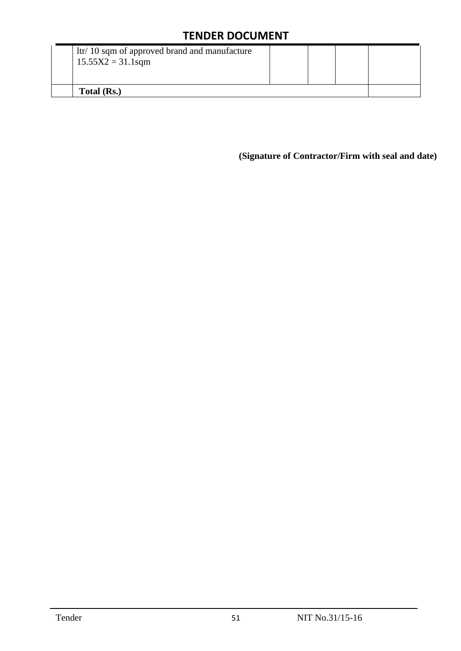| ltr/ 10 sqm of approved brand and manufacture<br>$15.55X2 = 31.1$ sqm |  |  |  |  |
|-----------------------------------------------------------------------|--|--|--|--|
| Total (Rs.)                                                           |  |  |  |  |

**(Signature of Contractor/Firm with seal and date)**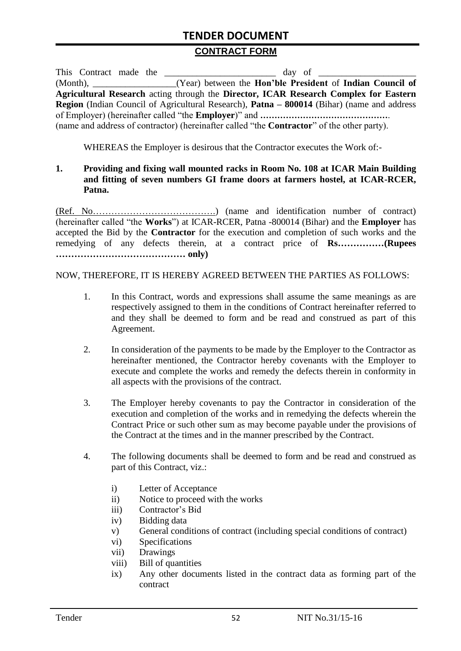#### **CONTRACT FORM**

| This Contract made the | day of                                                                                               |
|------------------------|------------------------------------------------------------------------------------------------------|
|                        | (Month), ____________________(Year) between the <b>Hon'ble President</b> of <b>Indian Council of</b> |
|                        | Agricultural Research acting through the Director, ICAR Research Complex for Eastern                 |
|                        | Region (Indian Council of Agricultural Research), Patna – 800014 (Bihar) (name and address           |
|                        |                                                                                                      |
|                        | (name and address of contractor) (hereinafter called "the <b>Contractor</b> " of the other party).   |

WHEREAS the Employer is desirous that the Contractor executes the Work of:-

#### **1. Providing and fixing wall mounted racks in Room No. 108 at ICAR Main Building and fitting of seven numbers GI frame doors at farmers hostel, at ICAR-RCER, Patna.**

(Ref. No………………………………….) (name and identification number of contract) (hereinafter called "the **Works**") at ICAR-RCER, Patna -800014 (Bihar) and the **Employer** has accepted the Bid by the **Contractor** for the execution and completion of such works and the remedying of any defects therein, at a contract price of **Rs……………(Rupees …………………………………… only)**

NOW, THEREFORE, IT IS HEREBY AGREED BETWEEN THE PARTIES AS FOLLOWS:

- 1. In this Contract, words and expressions shall assume the same meanings as are respectively assigned to them in the conditions of Contract hereinafter referred to and they shall be deemed to form and be read and construed as part of this Agreement.
- 2. In consideration of the payments to be made by the Employer to the Contractor as hereinafter mentioned, the Contractor hereby covenants with the Employer to execute and complete the works and remedy the defects therein in conformity in all aspects with the provisions of the contract.
- 3. The Employer hereby covenants to pay the Contractor in consideration of the execution and completion of the works and in remedying the defects wherein the Contract Price or such other sum as may become payable under the provisions of the Contract at the times and in the manner prescribed by the Contract.
- 4. The following documents shall be deemed to form and be read and construed as part of this Contract, viz.:
	- i) Letter of Acceptance
	- ii) Notice to proceed with the works
	- iii) Contractor"s Bid
	- iv) Bidding data
	- v) General conditions of contract (including special conditions of contract)
	- vi) Specifications
	- vii) Drawings
	- viii) Bill of quantities
	- ix) Any other documents listed in the contract data as forming part of the contract